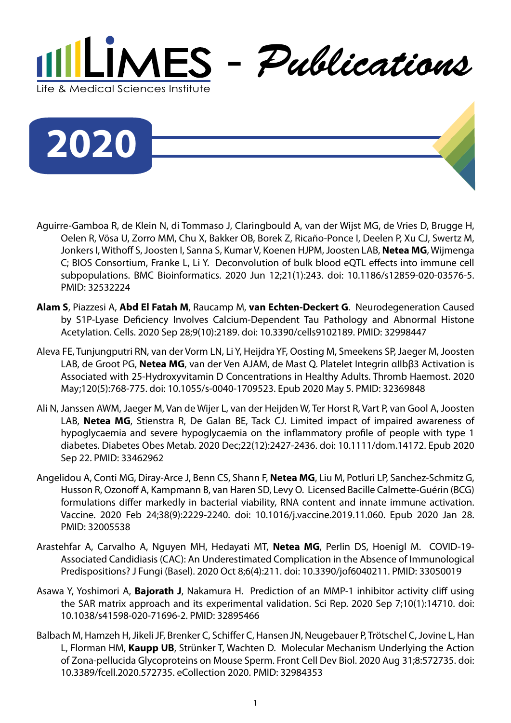



- Aguirre-Gamboa R, de Klein N, di Tommaso J, Claringbould A, van der Wijst MG, de Vries D, Brugge H, Oelen R, Võsa U, Zorro MM, Chu X, Bakker OB, Borek Z, Ricaño-Ponce I, Deelen P, Xu CJ, Swertz M, Jonkers I, Withoff S, Joosten I, Sanna S, Kumar V, Koenen HJPM, Joosten LAB, **Netea MG**, Wijmenga C; BIOS Consortium, Franke L, Li Y. Deconvolution of bulk blood eQTL effects into immune cell subpopulations. BMC Bioinformatics. 2020 Jun 12;21(1):243. doi: 10.1186/s12859-020-03576-5. PMID: 32532224
- **Alam S**, Piazzesi A, **Abd El Fatah M**, Raucamp M, **van Echten-Deckert G**. Neurodegeneration Caused by S1P-Lyase Deficiency Involves Calcium-Dependent Tau Pathology and Abnormal Histone Acetylation. Cells. 2020 Sep 28;9(10):2189. doi: 10.3390/cells9102189. PMID: 32998447
- Aleva FE, Tunjungputri RN, van der Vorm LN, Li Y, Heijdra YF, Oosting M, Smeekens SP, Jaeger M, Joosten LAB, de Groot PG, **Netea MG**, van der Ven AJAM, de Mast Q. Platelet Integrin αIIbβ3 Activation is Associated with 25-Hydroxyvitamin D Concentrations in Healthy Adults. Thromb Haemost. 2020 May;120(5):768-775. doi: 10.1055/s-0040-1709523. Epub 2020 May 5. PMID: 32369848
- Ali N, Janssen AWM, Jaeger M, Van de Wijer L, van der Heijden W, Ter Horst R, Vart P, van Gool A, Joosten LAB, **Netea MG**, Stienstra R, De Galan BE, Tack CJ. Limited impact of impaired awareness of hypoglycaemia and severe hypoglycaemia on the inflammatory profile of people with type 1 diabetes. Diabetes Obes Metab. 2020 Dec;22(12):2427-2436. doi: 10.1111/dom.14172. Epub 2020 Sep 22. PMID: 33462962
- Angelidou A, Conti MG, Diray-Arce J, Benn CS, Shann F, **Netea MG**, Liu M, Potluri LP, Sanchez-Schmitz G, Husson R, Ozonoff A, Kampmann B, van Haren SD, Levy O. Licensed Bacille Calmette-Guérin (BCG) formulations differ markedly in bacterial viability, RNA content and innate immune activation. Vaccine. 2020 Feb 24;38(9):2229-2240. doi: 10.1016/j.vaccine.2019.11.060. Epub 2020 Jan 28. PMID: 32005538
- Arastehfar A, Carvalho A, Nguyen MH, Hedayati MT, **Netea MG**, Perlin DS, Hoenigl M. COVID-19- Associated Candidiasis (CAC): An Underestimated Complication in the Absence of Immunological Predispositions? J Fungi (Basel). 2020 Oct 8;6(4):211. doi: 10.3390/jof6040211. PMID: 33050019
- Asawa Y, Yoshimori A, **Bajorath J**, Nakamura H. Prediction of an MMP-1 inhibitor activity cliff using the SAR matrix approach and its experimental validation. Sci Rep. 2020 Sep 7;10(1):14710. doi: 10.1038/s41598-020-71696-2. PMID: 32895466
- Balbach M, Hamzeh H, Jikeli JF, Brenker C, Schiffer C, Hansen JN, Neugebauer P, Trötschel C, Jovine L, Han L, Florman HM, **Kaupp UB**, Strünker T, Wachten D. Molecular Mechanism Underlying the Action of Zona-pellucida Glycoproteins on Mouse Sperm. Front Cell Dev Biol. 2020 Aug 31;8:572735. doi: 10.3389/fcell.2020.572735. eCollection 2020. PMID: 32984353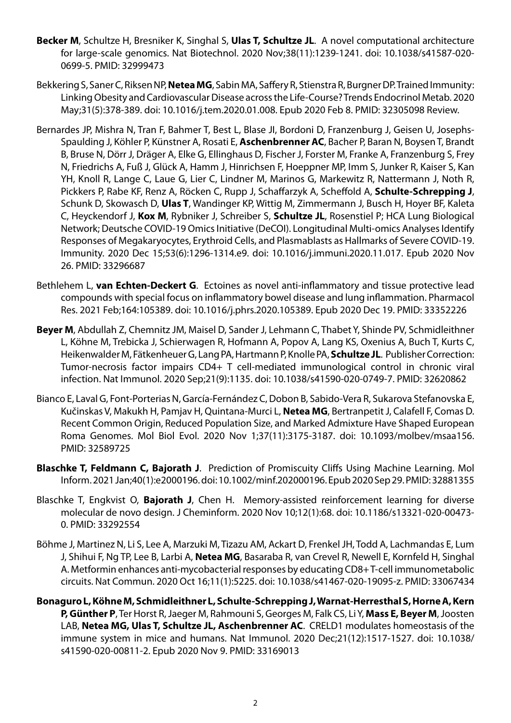- **Becker M**, Schultze H, Bresniker K, Singhal S, **Ulas T, Schultze JL**. A novel computational architecture for large-scale genomics. Nat Biotechnol. 2020 Nov;38(11):1239-1241. doi: 10.1038/s41587-020- 0699-5. PMID: 32999473
- Bekkering S, Saner C, Riksen NP, **Netea MG**, Sabin MA, Saffery R, Stienstra R, Burgner DP. Trained Immunity: Linking Obesity and Cardiovascular Disease across the Life-Course? Trends Endocrinol Metab. 2020 May;31(5):378-389. doi: 10.1016/j.tem.2020.01.008. Epub 2020 Feb 8. PMID: 32305098 Review.
- Bernardes JP, Mishra N, Tran F, Bahmer T, Best L, Blase JI, Bordoni D, Franzenburg J, Geisen U, Josephs-Spaulding J, Köhler P, Künstner A, Rosati E, **Aschenbrenner AC**, Bacher P, Baran N, Boysen T, Brandt B, Bruse N, Dörr J, Dräger A, Elke G, Ellinghaus D, Fischer J, Forster M, Franke A, Franzenburg S, Frey N, Friedrichs A, Fuß J, Glück A, Hamm J, Hinrichsen F, Hoeppner MP, Imm S, Junker R, Kaiser S, Kan YH, Knoll R, Lange C, Laue G, Lier C, Lindner M, Marinos G, Markewitz R, Nattermann J, Noth R, Pickkers P, Rabe KF, Renz A, Röcken C, Rupp J, Schaffarzyk A, Scheffold A, **Schulte-Schrepping J**, Schunk D, Skowasch D, **Ulas T**, Wandinger KP, Wittig M, Zimmermann J, Busch H, Hoyer BF, Kaleta C, Heyckendorf J, **Kox M**, Rybniker J, Schreiber S, **Schultze JL**, Rosenstiel P; HCA Lung Biological Network; Deutsche COVID-19 Omics Initiative (DeCOI). Longitudinal Multi-omics Analyses Identify Responses of Megakaryocytes, Erythroid Cells, and Plasmablasts as Hallmarks of Severe COVID-19. Immunity. 2020 Dec 15;53(6):1296-1314.e9. doi: 10.1016/j.immuni.2020.11.017. Epub 2020 Nov 26. PMID: 33296687
- Bethlehem L, **van Echten-Deckert G**. Ectoines as novel anti-inflammatory and tissue protective lead compounds with special focus on inflammatory bowel disease and lung inflammation. Pharmacol Res. 2021 Feb;164:105389. doi: 10.1016/j.phrs.2020.105389. Epub 2020 Dec 19. PMID: 33352226
- **Beyer M**, Abdullah Z, Chemnitz JM, Maisel D, Sander J, Lehmann C, Thabet Y, Shinde PV, Schmidleithner L, Köhne M, Trebicka J, Schierwagen R, Hofmann A, Popov A, Lang KS, Oxenius A, Buch T, Kurts C, Heikenwalder M, Fätkenheuer G, Lang PA, Hartmann P, Knolle PA, **Schultze JL**. Publisher Correction: Tumor-necrosis factor impairs CD4+ T cell-mediated immunological control in chronic viral infection. Nat Immunol. 2020 Sep;21(9):1135. doi: 10.1038/s41590-020-0749-7. PMID: 32620862
- Bianco E, Laval G, Font-Porterias N, García-Fernández C, Dobon B, Sabido-Vera R, Sukarova Stefanovska E, Kučinskas V, Makukh H, Pamjav H, Quintana-Murci L, **Netea MG**, Bertranpetit J, Calafell F, Comas D. Recent Common Origin, Reduced Population Size, and Marked Admixture Have Shaped European Roma Genomes. Mol Biol Evol. 2020 Nov 1;37(11):3175-3187. doi: 10.1093/molbev/msaa156. PMID: 32589725
- **Blaschke T, Feldmann C, Bajorath J**. Prediction of Promiscuity Cliffs Using Machine Learning. Mol Inform. 2021 Jan;40(1):e2000196. doi: 10.1002/minf.202000196. Epub 2020 Sep 29. PMID: 32881355
- Blaschke T, Engkvist O, **Bajorath J**, Chen H. Memory-assisted reinforcement learning for diverse molecular de novo design. J Cheminform. 2020 Nov 10;12(1):68. doi: 10.1186/s13321-020-00473- 0. PMID: 33292554
- Böhme J, Martinez N, Li S, Lee A, Marzuki M, Tizazu AM, Ackart D, Frenkel JH, Todd A, Lachmandas E, Lum J, Shihui F, Ng TP, Lee B, Larbi A, **Netea MG**, Basaraba R, van Crevel R, Newell E, Kornfeld H, Singhal A. Metformin enhances anti-mycobacterial responses by educating CD8+ T-cell immunometabolic circuits. Nat Commun. 2020 Oct 16;11(1):5225. doi: 10.1038/s41467-020-19095-z. PMID: 33067434
- **Bonaguro L, Köhne M, Schmidleithner L, Schulte-Schrepping J, Warnat-Herresthal S, Horne A, Kern P, Günther P**, Ter Horst R, Jaeger M, Rahmouni S, Georges M, Falk CS, Li Y, **Mass E, Beyer M**, Joosten LAB, **Netea MG, Ulas T, Schultze JL, Aschenbrenner AC**. CRELD1 modulates homeostasis of the immune system in mice and humans. Nat Immunol. 2020 Dec;21(12):1517-1527. doi: 10.1038/ s41590-020-00811-2. Epub 2020 Nov 9. PMID: 33169013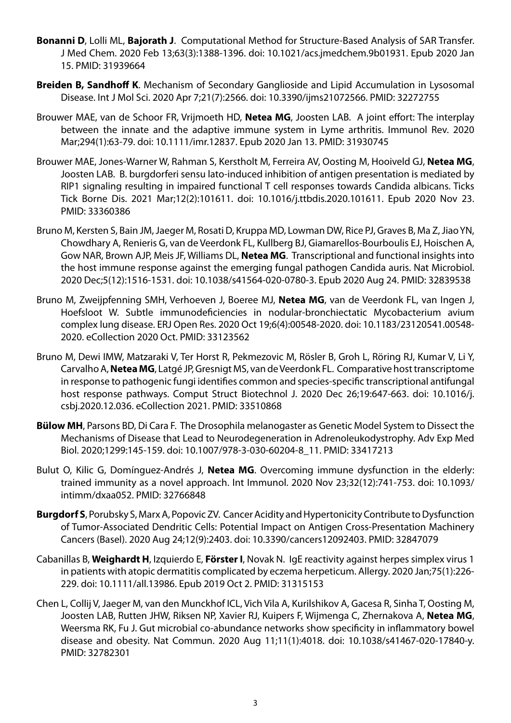- **Bonanni D**, Lolli ML, **Bajorath J**. Computational Method for Structure-Based Analysis of SAR Transfer. J Med Chem. 2020 Feb 13;63(3):1388-1396. doi: 10.1021/acs.jmedchem.9b01931. Epub 2020 Jan 15. PMID: 31939664
- **Breiden B, Sandhoff K**. Mechanism of Secondary Ganglioside and Lipid Accumulation in Lysosomal Disease. Int J Mol Sci. 2020 Apr 7;21(7):2566. doi: 10.3390/ijms21072566. PMID: 32272755
- Brouwer MAE, van de Schoor FR, Vrijmoeth HD, **Netea MG**, Joosten LAB. A joint effort: The interplay between the innate and the adaptive immune system in Lyme arthritis. Immunol Rev. 2020 Mar;294(1):63-79. doi: 10.1111/imr.12837. Epub 2020 Jan 13. PMID: 31930745
- Brouwer MAE, Jones-Warner W, Rahman S, Kerstholt M, Ferreira AV, Oosting M, Hooiveld GJ, **Netea MG**, Joosten LAB. B. burgdorferi sensu lato-induced inhibition of antigen presentation is mediated by RIP1 signaling resulting in impaired functional T cell responses towards Candida albicans. Ticks Tick Borne Dis. 2021 Mar;12(2):101611. doi: 10.1016/j.ttbdis.2020.101611. Epub 2020 Nov 23. PMID: 33360386
- Bruno M, Kersten S, Bain JM, Jaeger M, Rosati D, Kruppa MD, Lowman DW, Rice PJ, Graves B, Ma Z, Jiao YN, Chowdhary A, Renieris G, van de Veerdonk FL, Kullberg BJ, Giamarellos-Bourboulis EJ, Hoischen A, Gow NAR, Brown AJP, Meis JF, Williams DL, **Netea MG**. Transcriptional and functional insights into the host immune response against the emerging fungal pathogen Candida auris. Nat Microbiol. 2020 Dec;5(12):1516-1531. doi: 10.1038/s41564-020-0780-3. Epub 2020 Aug 24. PMID: 32839538
- Bruno M, Zweijpfenning SMH, Verhoeven J, Boeree MJ, **Netea MG**, van de Veerdonk FL, van Ingen J, Hoefsloot W. Subtle immunodeficiencies in nodular-bronchiectatic Mycobacterium avium complex lung disease. ERJ Open Res. 2020 Oct 19;6(4):00548-2020. doi: 10.1183/23120541.00548- 2020. eCollection 2020 Oct. PMID: 33123562
- Bruno M, Dewi IMW, Matzaraki V, Ter Horst R, Pekmezovic M, Rösler B, Groh L, Röring RJ, Kumar V, Li Y, Carvalho A, **Netea MG**, Latgé JP, Gresnigt MS, van de Veerdonk FL. Comparative host transcriptome in response to pathogenic fungi identifies common and species-specific transcriptional antifungal host response pathways. Comput Struct Biotechnol J. 2020 Dec 26;19:647-663. doi: 10.1016/j. csbj.2020.12.036. eCollection 2021. PMID: 33510868
- **Bülow MH**, Parsons BD, Di Cara F. The Drosophila melanogaster as Genetic Model System to Dissect the Mechanisms of Disease that Lead to Neurodegeneration in Adrenoleukodystrophy. Adv Exp Med Biol. 2020;1299:145-159. doi: 10.1007/978-3-030-60204-8\_11. PMID: 33417213
- Bulut O, Kilic G, Domínguez-Andrés J, **Netea MG**. Overcoming immune dysfunction in the elderly: trained immunity as a novel approach. Int Immunol. 2020 Nov 23;32(12):741-753. doi: 10.1093/ intimm/dxaa052. PMID: 32766848
- **Burgdorf S**, Porubsky S, Marx A, Popovic ZV. Cancer Acidity and Hypertonicity Contribute to Dysfunction of Tumor-Associated Dendritic Cells: Potential Impact on Antigen Cross-Presentation Machinery Cancers (Basel). 2020 Aug 24;12(9):2403. doi: 10.3390/cancers12092403. PMID: 32847079
- Cabanillas B, **Weighardt H**, Izquierdo E, **Förster I**, Novak N. IgE reactivity against herpes simplex virus 1 in patients with atopic dermatitis complicated by eczema herpeticum. Allergy. 2020 Jan;75(1):226- 229. doi: 10.1111/all.13986. Epub 2019 Oct 2. PMID: 31315153
- Chen L, Collij V, Jaeger M, van den Munckhof ICL, Vich Vila A, Kurilshikov A, Gacesa R, Sinha T, Oosting M, Joosten LAB, Rutten JHW, Riksen NP, Xavier RJ, Kuipers F, Wijmenga C, Zhernakova A, **Netea MG**, Weersma RK, Fu J. Gut microbial co-abundance networks show specificity in inflammatory bowel disease and obesity. Nat Commun. 2020 Aug 11;11(1):4018. doi: 10.1038/s41467-020-17840-y. PMID: 32782301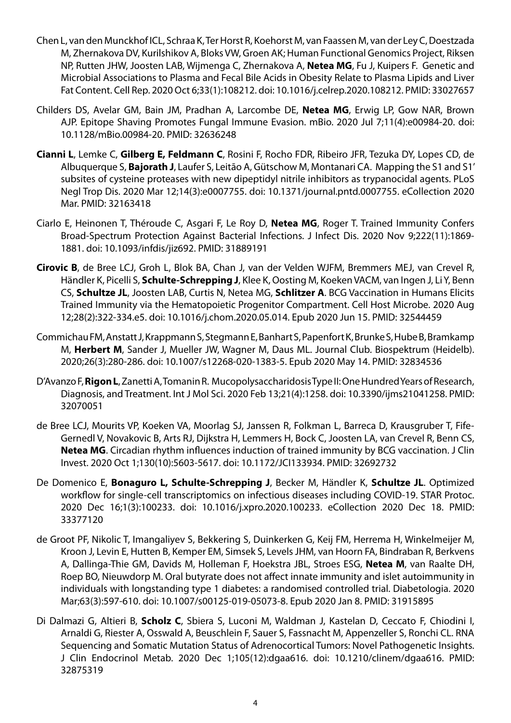- Chen L, van den Munckhof ICL, Schraa K, Ter Horst R, Koehorst M, van Faassen M, van der Ley C, Doestzada M, Zhernakova DV, Kurilshikov A, Bloks VW, Groen AK; Human Functional Genomics Project, Riksen NP, Rutten JHW, Joosten LAB, Wijmenga C, Zhernakova A, **Netea MG**, Fu J, Kuipers F. Genetic and Microbial Associations to Plasma and Fecal Bile Acids in Obesity Relate to Plasma Lipids and Liver Fat Content. Cell Rep. 2020 Oct 6;33(1):108212. doi: 10.1016/j.celrep.2020.108212. PMID: 33027657
- Childers DS, Avelar GM, Bain JM, Pradhan A, Larcombe DE, **Netea MG**, Erwig LP, Gow NAR, Brown AJP. Epitope Shaving Promotes Fungal Immune Evasion. mBio. 2020 Jul 7;11(4):e00984-20. doi: 10.1128/mBio.00984-20. PMID: 32636248
- **Cianni L**, Lemke C, **Gilberg E, Feldmann C**, Rosini F, Rocho FDR, Ribeiro JFR, Tezuka DY, Lopes CD, de Albuquerque S, **Bajorath J**, Laufer S, Leitão A, Gütschow M, Montanari CA. Mapping the S1 and S1' subsites of cysteine proteases with new dipeptidyl nitrile inhibitors as trypanocidal agents. PLoS Negl Trop Dis. 2020 Mar 12;14(3):e0007755. doi: 10.1371/journal.pntd.0007755. eCollection 2020 Mar. PMID: 32163418
- Ciarlo E, Heinonen T, Théroude C, Asgari F, Le Roy D, **Netea MG**, Roger T. Trained Immunity Confers Broad-Spectrum Protection Against Bacterial Infections. J Infect Dis. 2020 Nov 9;222(11):1869- 1881. doi: 10.1093/infdis/jiz692. PMID: 31889191
- **Cirovic B**, de Bree LCJ, Groh L, Blok BA, Chan J, van der Velden WJFM, Bremmers MEJ, van Crevel R, Händler K, Picelli S, **Schulte-Schrepping J**, Klee K, Oosting M, Koeken VACM, van Ingen J, Li Y, Benn CS, **Schultze JL**, Joosten LAB, Curtis N, Netea MG, **Schlitzer A**. BCG Vaccination in Humans Elicits Trained Immunity via the Hematopoietic Progenitor Compartment. Cell Host Microbe. 2020 Aug 12;28(2):322-334.e5. doi: 10.1016/j.chom.2020.05.014. Epub 2020 Jun 15. PMID: 32544459
- Commichau FM, Anstatt J, Krappmann S, Stegmann E, Banhart S, Papenfort K, Brunke S, Hube B, Bramkamp M, **Herbert M**, Sander J, Mueller JW, Wagner M, Daus ML. Journal Club. Biospektrum (Heidelb). 2020;26(3):280-286. doi: 10.1007/s12268-020-1383-5. Epub 2020 May 14. PMID: 32834536
- D'Avanzo F, **Rigon L**, Zanetti A, Tomanin R. Mucopolysaccharidosis Type II: One Hundred Years of Research, Diagnosis, and Treatment. Int J Mol Sci. 2020 Feb 13;21(4):1258. doi: 10.3390/ijms21041258. PMID: 32070051
- de Bree LCJ, Mourits VP, Koeken VA, Moorlag SJ, Janssen R, Folkman L, Barreca D, Krausgruber T, Fife-Gernedl V, Novakovic B, Arts RJ, Dijkstra H, Lemmers H, Bock C, Joosten LA, van Crevel R, Benn CS, **Netea MG**. Circadian rhythm influences induction of trained immunity by BCG vaccination. J Clin Invest. 2020 Oct 1;130(10):5603-5617. doi: 10.1172/JCI133934. PMID: 32692732
- De Domenico E, **Bonaguro L, Schulte-Schrepping J**, Becker M, Händler K, **Schultze JL**. Optimized workflow for single-cell transcriptomics on infectious diseases including COVID-19. STAR Protoc. 2020 Dec 16;1(3):100233. doi: 10.1016/j.xpro.2020.100233. eCollection 2020 Dec 18. PMID: 33377120
- de Groot PF, Nikolic T, Imangaliyev S, Bekkering S, Duinkerken G, Keij FM, Herrema H, Winkelmeijer M, Kroon J, Levin E, Hutten B, Kemper EM, Simsek S, Levels JHM, van Hoorn FA, Bindraban R, Berkvens A, Dallinga-Thie GM, Davids M, Holleman F, Hoekstra JBL, Stroes ESG, **Netea M**, van Raalte DH, Roep BO, Nieuwdorp M. Oral butyrate does not affect innate immunity and islet autoimmunity in individuals with longstanding type 1 diabetes: a randomised controlled trial. Diabetologia. 2020 Mar;63(3):597-610. doi: 10.1007/s00125-019-05073-8. Epub 2020 Jan 8. PMID: 31915895
- Di Dalmazi G, Altieri B, **Scholz C**, Sbiera S, Luconi M, Waldman J, Kastelan D, Ceccato F, Chiodini I, Arnaldi G, Riester A, Osswald A, Beuschlein F, Sauer S, Fassnacht M, Appenzeller S, Ronchi CL. RNA Sequencing and Somatic Mutation Status of Adrenocortical Tumors: Novel Pathogenetic Insights. J Clin Endocrinol Metab. 2020 Dec 1;105(12):dgaa616. doi: 10.1210/clinem/dgaa616. PMID: 32875319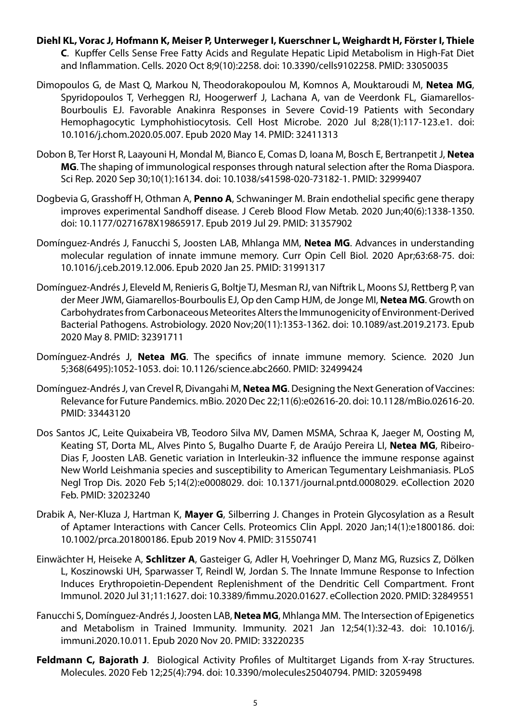- **Diehl KL, Vorac J, Hofmann K, Meiser P, Unterweger I, Kuerschner L, Weighardt H, Förster I, Thiele C**. Kupffer Cells Sense Free Fatty Acids and Regulate Hepatic Lipid Metabolism in High-Fat Diet and Inflammation. Cells. 2020 Oct 8;9(10):2258. doi: 10.3390/cells9102258. PMID: 33050035
- Dimopoulos G, de Mast Q, Markou N, Theodorakopoulou M, Komnos A, Mouktaroudi M, **Netea MG**, Spyridopoulos T, Verheggen RJ, Hoogerwerf J, Lachana A, van de Veerdonk FL, Giamarellos-Bourboulis EJ. Favorable Anakinra Responses in Severe Covid-19 Patients with Secondary Hemophagocytic Lymphohistiocytosis. Cell Host Microbe. 2020 Jul 8;28(1):117-123.e1. doi: 10.1016/j.chom.2020.05.007. Epub 2020 May 14. PMID: 32411313
- Dobon B, Ter Horst R, Laayouni H, Mondal M, Bianco E, Comas D, Ioana M, Bosch E, Bertranpetit J, **Netea MG**. The shaping of immunological responses through natural selection after the Roma Diaspora. Sci Rep. 2020 Sep 30;10(1):16134. doi: 10.1038/s41598-020-73182-1. PMID: 32999407
- Dogbevia G, Grasshoff H, Othman A, **Penno A**, Schwaninger M. Brain endothelial specific gene therapy improves experimental Sandhoff disease. J Cereb Blood Flow Metab. 2020 Jun;40(6):1338-1350. doi: 10.1177/0271678X19865917. Epub 2019 Jul 29. PMID: 31357902
- Domínguez-Andrés J, Fanucchi S, Joosten LAB, Mhlanga MM, **Netea MG**. Advances in understanding molecular regulation of innate immune memory. Curr Opin Cell Biol. 2020 Apr;63:68-75. doi: 10.1016/j.ceb.2019.12.006. Epub 2020 Jan 25. PMID: 31991317
- Domínguez-Andrés J, Eleveld M, Renieris G, Boltje TJ, Mesman RJ, van Niftrik L, Moons SJ, Rettberg P, van der Meer JWM, Giamarellos-Bourboulis EJ, Op den Camp HJM, de Jonge MI, **Netea MG**. Growth on Carbohydrates from Carbonaceous Meteorites Alters the Immunogenicity of Environment-Derived Bacterial Pathogens. Astrobiology. 2020 Nov;20(11):1353-1362. doi: 10.1089/ast.2019.2173. Epub 2020 May 8. PMID: 32391711
- Domínguez-Andrés J, **Netea MG**. The specifics of innate immune memory. Science. 2020 Jun 5;368(6495):1052-1053. doi: 10.1126/science.abc2660. PMID: 32499424
- Domínguez-Andrés J, van Crevel R, Divangahi M, **Netea MG**. Designing the Next Generation of Vaccines: Relevance for Future Pandemics. mBio. 2020 Dec 22;11(6):e02616-20. doi: 10.1128/mBio.02616-20. PMID: 33443120
- Dos Santos JC, Leite Quixabeira VB, Teodoro Silva MV, Damen MSMA, Schraa K, Jaeger M, Oosting M, Keating ST, Dorta ML, Alves Pinto S, Bugalho Duarte F, de Araújo Pereira LI, **Netea MG**, Ribeiro-Dias F, Joosten LAB. Genetic variation in Interleukin-32 influence the immune response against New World Leishmania species and susceptibility to American Tegumentary Leishmaniasis. PLoS Negl Trop Dis. 2020 Feb 5;14(2):e0008029. doi: 10.1371/journal.pntd.0008029. eCollection 2020 Feb. PMID: 32023240
- Drabik A, Ner-Kluza J, Hartman K, **Mayer G**, Silberring J. Changes in Protein Glycosylation as a Result of Aptamer Interactions with Cancer Cells. Proteomics Clin Appl. 2020 Jan;14(1):e1800186. doi: 10.1002/prca.201800186. Epub 2019 Nov 4. PMID: 31550741
- Einwächter H, Heiseke A, **Schlitzer A**, Gasteiger G, Adler H, Voehringer D, Manz MG, Ruzsics Z, Dölken L, Koszinowski UH, Sparwasser T, Reindl W, Jordan S. The Innate Immune Response to Infection Induces Erythropoietin-Dependent Replenishment of the Dendritic Cell Compartment. Front Immunol. 2020 Jul 31;11:1627. doi: 10.3389/fimmu.2020.01627. eCollection 2020. PMID: 32849551
- Fanucchi S, Domínguez-Andrés J, Joosten LAB, **Netea MG**, Mhlanga MM. The Intersection of Epigenetics and Metabolism in Trained Immunity. Immunity. 2021 Jan 12;54(1):32-43. doi: 10.1016/j. immuni.2020.10.011. Epub 2020 Nov 20. PMID: 33220235
- **Feldmann C, Bajorath J.** Biological Activity Profiles of Multitarget Ligands from X-ray Structures. Molecules. 2020 Feb 12;25(4):794. doi: 10.3390/molecules25040794. PMID: 32059498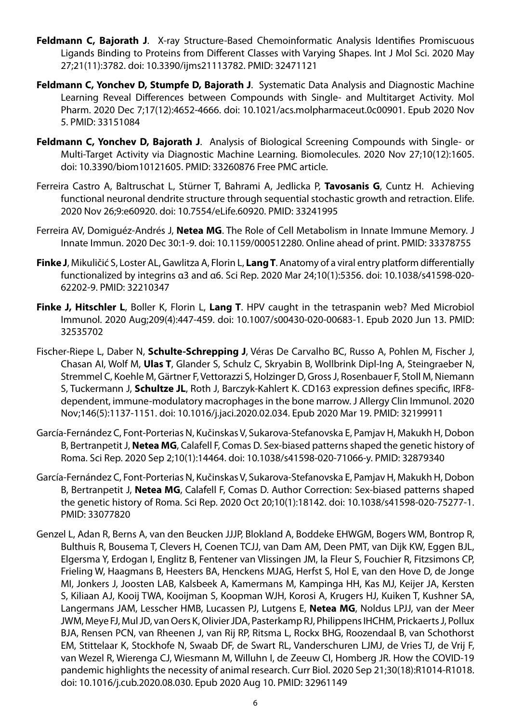- **Feldmann C, Bajorath J**. X-ray Structure-Based Chemoinformatic Analysis Identifies Promiscuous Ligands Binding to Proteins from Different Classes with Varying Shapes. Int J Mol Sci. 2020 May 27;21(11):3782. doi: 10.3390/ijms21113782. PMID: 32471121
- **Feldmann C, Yonchev D, Stumpfe D, Bajorath J**. Systematic Data Analysis and Diagnostic Machine Learning Reveal Differences between Compounds with Single- and Multitarget Activity. Mol Pharm. 2020 Dec 7;17(12):4652-4666. doi: 10.1021/acs.molpharmaceut.0c00901. Epub 2020 Nov 5. PMID: 33151084
- **Feldmann C, Yonchev D, Bajorath J**. Analysis of Biological Screening Compounds with Single- or Multi-Target Activity via Diagnostic Machine Learning. Biomolecules. 2020 Nov 27;10(12):1605. doi: 10.3390/biom10121605. PMID: 33260876 Free PMC article.
- Ferreira Castro A, Baltruschat L, Stürner T, Bahrami A, Jedlicka P, **Tavosanis G**, Cuntz H. Achieving functional neuronal dendrite structure through sequential stochastic growth and retraction. Elife. 2020 Nov 26;9:e60920. doi: 10.7554/eLife.60920. PMID: 33241995
- Ferreira AV, Domiguéz-Andrés J, **Netea MG**. The Role of Cell Metabolism in Innate Immune Memory. J Innate Immun. 2020 Dec 30:1-9. doi: 10.1159/000512280. Online ahead of print. PMID: 33378755
- **Finke J**, Mikuličić S, Loster AL, Gawlitza A, Florin L, **Lang T**. Anatomy of a viral entry platform differentially functionalized by integrins α3 and α6. Sci Rep. 2020 Mar 24;10(1):5356. doi: 10.1038/s41598-020- 62202-9. PMID: 32210347
- **Finke J, Hitschler L**, Boller K, Florin L, **Lang T**. HPV caught in the tetraspanin web? Med Microbiol Immunol. 2020 Aug;209(4):447-459. doi: 10.1007/s00430-020-00683-1. Epub 2020 Jun 13. PMID: 32535702
- Fischer-Riepe L, Daber N, **Schulte-Schrepping J**, Véras De Carvalho BC, Russo A, Pohlen M, Fischer J, Chasan AI, Wolf M, **Ulas T**, Glander S, Schulz C, Skryabin B, Wollbrink Dipl-Ing A, Steingraeber N, Stremmel C, Koehle M, Gärtner F, Vettorazzi S, Holzinger D, Gross J, Rosenbauer F, Stoll M, Niemann S, Tuckermann J, **Schultze JL**, Roth J, Barczyk-Kahlert K. CD163 expression defines specific, IRF8 dependent, immune-modulatory macrophages in the bone marrow. J Allergy Clin Immunol. 2020 Nov;146(5):1137-1151. doi: 10.1016/j.jaci.2020.02.034. Epub 2020 Mar 19. PMID: 32199911
- García-Fernández C, Font-Porterias N, Kučinskas V, Sukarova-Stefanovska E, Pamjav H, Makukh H, Dobon B, Bertranpetit J, **Netea MG**, Calafell F, Comas D. Sex-biased patterns shaped the genetic history of Roma. Sci Rep. 2020 Sep 2;10(1):14464. doi: 10.1038/s41598-020-71066-y. PMID: 32879340
- García-Fernández C, Font-Porterias N, Kučinskas V, Sukarova-Stefanovska E, Pamjav H, Makukh H, Dobon B, Bertranpetit J, **Netea MG**, Calafell F, Comas D. Author Correction: Sex-biased patterns shaped the genetic history of Roma. Sci Rep. 2020 Oct 20;10(1):18142. doi: 10.1038/s41598-020-75277-1. PMID: 33077820
- Genzel L, Adan R, Berns A, van den Beucken JJJP, Blokland A, Boddeke EHWGM, Bogers WM, Bontrop R, Bulthuis R, Bousema T, Clevers H, Coenen TCJJ, van Dam AM, Deen PMT, van Dijk KW, Eggen BJL, Elgersma Y, Erdogan I, Englitz B, Fentener van Vlissingen JM, la Fleur S, Fouchier R, Fitzsimons CP, Frieling W, Haagmans B, Heesters BA, Henckens MJAG, Herfst S, Hol E, van den Hove D, de Jonge MI, Jonkers J, Joosten LAB, Kalsbeek A, Kamermans M, Kampinga HH, Kas MJ, Keijer JA, Kersten S, Kiliaan AJ, Kooij TWA, Kooijman S, Koopman WJH, Korosi A, Krugers HJ, Kuiken T, Kushner SA, Langermans JAM, Lesscher HMB, Lucassen PJ, Lutgens E, **Netea MG**, Noldus LPJJ, van der Meer JWM, Meye FJ, Mul JD, van Oers K, Olivier JDA, Pasterkamp RJ, Philippens IHCHM, Prickaerts J, Pollux BJA, Rensen PCN, van Rheenen J, van Rij RP, Ritsma L, Rockx BHG, Roozendaal B, van Schothorst EM, Stittelaar K, Stockhofe N, Swaab DF, de Swart RL, Vanderschuren LJMJ, de Vries TJ, de Vrij F, van Wezel R, Wierenga CJ, Wiesmann M, Willuhn I, de Zeeuw CI, Homberg JR. How the COVID-19 pandemic highlights the necessity of animal research. Curr Biol. 2020 Sep 21;30(18):R1014-R1018. doi: 10.1016/j.cub.2020.08.030. Epub 2020 Aug 10. PMID: 32961149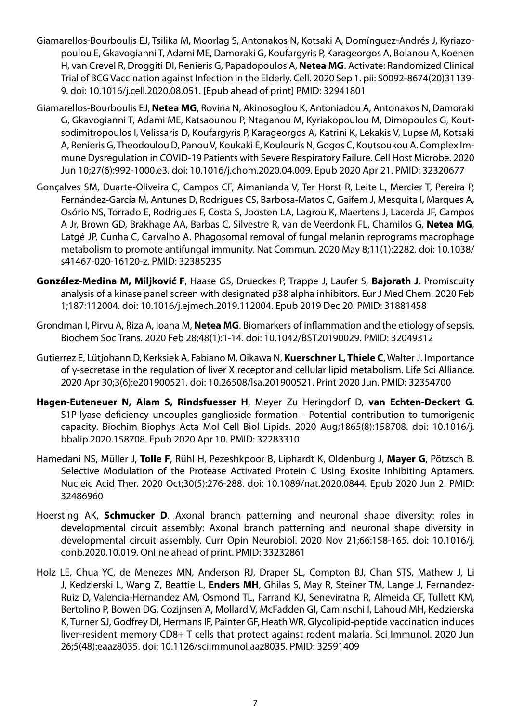- Giamarellos-Bourboulis EJ, Tsilika M, Moorlag S, Antonakos N, Kotsaki A, Domínguez-Andrés J, Kyriazopoulou E, Gkavogianni T, Adami ME, Damoraki G, Koufargyris P, Karageorgos A, Bolanou A, Koenen H, van Crevel R, Droggiti DI, Renieris G, Papadopoulos A, **Netea MG**. Activate: Randomized Clinical Trial of BCG Vaccination against Infection in the Elderly. Cell. 2020 Sep 1. pii: S0092-8674(20)31139- 9. doi: 10.1016/j.cell.2020.08.051. [Epub ahead of print] PMID: 32941801
- Giamarellos-Bourboulis EJ, **Netea MG**, Rovina N, Akinosoglou K, Antoniadou A, Antonakos N, Damoraki G, Gkavogianni T, Adami ME, Katsaounou P, Ntaganou M, Kyriakopoulou M, Dimopoulos G, Koutsodimitropoulos I, Velissaris D, Koufargyris P, Karageorgos A, Katrini K, Lekakis V, Lupse M, Kotsaki A, Renieris G, Theodoulou D, Panou V, Koukaki E, Koulouris N, Gogos C, Koutsoukou A. Complex Immune Dysregulation in COVID-19 Patients with Severe Respiratory Failure. Cell Host Microbe. 2020 Jun 10;27(6):992-1000.e3. doi: 10.1016/j.chom.2020.04.009. Epub 2020 Apr 21. PMID: 32320677
- Gonçalves SM, Duarte-Oliveira C, Campos CF, Aimanianda V, Ter Horst R, Leite L, Mercier T, Pereira P, Fernández-García M, Antunes D, Rodrigues CS, Barbosa-Matos C, Gaifem J, Mesquita I, Marques A, Osório NS, Torrado E, Rodrigues F, Costa S, Joosten LA, Lagrou K, Maertens J, Lacerda JF, Campos A Jr, Brown GD, Brakhage AA, Barbas C, Silvestre R, van de Veerdonk FL, Chamilos G, **Netea MG**, Latgé JP, Cunha C, Carvalho A. Phagosomal removal of fungal melanin reprograms macrophage metabolism to promote antifungal immunity. Nat Commun. 2020 May 8;11(1):2282. doi: 10.1038/ s41467-020-16120-z. PMID: 32385235
- **González-Medina M, Miljković F**, Haase GS, Drueckes P, Trappe J, Laufer S, **Bajorath J**. Promiscuity analysis of a kinase panel screen with designated p38 alpha inhibitors. Eur J Med Chem. 2020 Feb 1;187:112004. doi: 10.1016/j.ejmech.2019.112004. Epub 2019 Dec 20. PMID: 31881458
- Grondman I, Pirvu A, Riza A, Ioana M, **Netea MG**. Biomarkers of inflammation and the etiology of sepsis. Biochem Soc Trans. 2020 Feb 28;48(1):1-14. doi: 10.1042/BST20190029. PMID: 32049312
- Gutierrez E, Lütjohann D, Kerksiek A, Fabiano M, Oikawa N, **Kuerschner L, Thiele C**, Walter J. Importance of γ-secretase in the regulation of liver X receptor and cellular lipid metabolism. Life Sci Alliance. 2020 Apr 30;3(6):e201900521. doi: 10.26508/lsa.201900521. Print 2020 Jun. PMID: 32354700
- **Hagen-Euteneuer N, Alam S, Rindsfuesser H**, Meyer Zu Heringdorf D, **van Echten-Deckert G**. S1P-lyase deficiency uncouples ganglioside formation - Potential contribution to tumorigenic capacity. Biochim Biophys Acta Mol Cell Biol Lipids. 2020 Aug;1865(8):158708. doi: 10.1016/j. bbalip.2020.158708. Epub 2020 Apr 10. PMID: 32283310
- Hamedani NS, Müller J, **Tolle F**, Rühl H, Pezeshkpoor B, Liphardt K, Oldenburg J, **Mayer G**, Pötzsch B. Selective Modulation of the Protease Activated Protein C Using Exosite Inhibiting Aptamers. Nucleic Acid Ther. 2020 Oct;30(5):276-288. doi: 10.1089/nat.2020.0844. Epub 2020 Jun 2. PMID: 32486960
- Hoersting AK, **Schmucker D**. Axonal branch patterning and neuronal shape diversity: roles in developmental circuit assembly: Axonal branch patterning and neuronal shape diversity in developmental circuit assembly. Curr Opin Neurobiol. 2020 Nov 21;66:158-165. doi: 10.1016/j. conb.2020.10.019. Online ahead of print. PMID: 33232861
- Holz LE, Chua YC, de Menezes MN, Anderson RJ, Draper SL, Compton BJ, Chan STS, Mathew J, Li J, Kedzierski L, Wang Z, Beattie L, **Enders MH**, Ghilas S, May R, Steiner TM, Lange J, Fernandez-Ruiz D, Valencia-Hernandez AM, Osmond TL, Farrand KJ, Seneviratna R, Almeida CF, Tullett KM, Bertolino P, Bowen DG, Cozijnsen A, Mollard V, McFadden GI, Caminschi I, Lahoud MH, Kedzierska K, Turner SJ, Godfrey DI, Hermans IF, Painter GF, Heath WR. Glycolipid-peptide vaccination induces liver-resident memory CD8+ T cells that protect against rodent malaria. Sci Immunol. 2020 Jun 26;5(48):eaaz8035. doi: 10.1126/sciimmunol.aaz8035. PMID: 32591409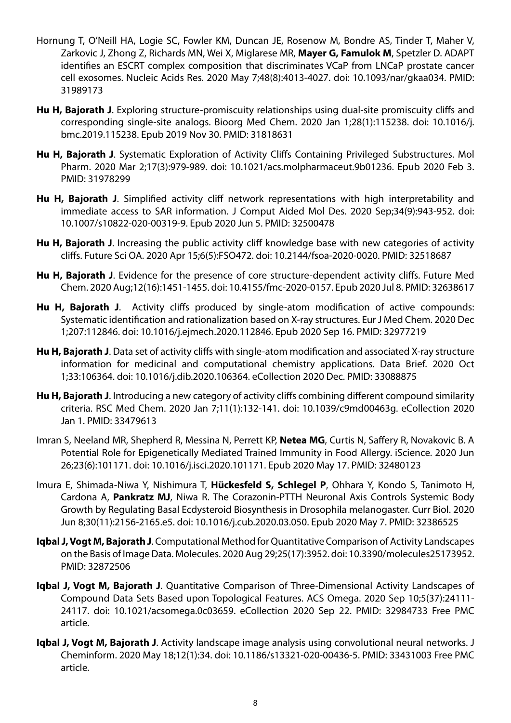- Hornung T, O'Neill HA, Logie SC, Fowler KM, Duncan JE, Rosenow M, Bondre AS, Tinder T, Maher V, Zarkovic J, Zhong Z, Richards MN, Wei X, Miglarese MR, **Mayer G, Famulok M**, Spetzler D. ADAPT identifies an ESCRT complex composition that discriminates VCaP from LNCaP prostate cancer cell exosomes. Nucleic Acids Res. 2020 May 7;48(8):4013-4027. doi: 10.1093/nar/gkaa034. PMID: 31989173
- **Hu H, Bajorath J**. Exploring structure-promiscuity relationships using dual-site promiscuity cliffs and corresponding single-site analogs. Bioorg Med Chem. 2020 Jan 1;28(1):115238. doi: 10.1016/j. bmc.2019.115238. Epub 2019 Nov 30. PMID: 31818631
- **Hu H, Bajorath J**. Systematic Exploration of Activity Cliffs Containing Privileged Substructures. Mol Pharm. 2020 Mar 2;17(3):979-989. doi: 10.1021/acs.molpharmaceut.9b01236. Epub 2020 Feb 3. PMID: 31978299
- **Hu H, Bajorath J**. Simplified activity cliff network representations with high interpretability and immediate access to SAR information. J Comput Aided Mol Des. 2020 Sep;34(9):943-952. doi: 10.1007/s10822-020-00319-9. Epub 2020 Jun 5. PMID: 32500478
- **Hu H, Bajorath J**. Increasing the public activity cliff knowledge base with new categories of activity cliffs. Future Sci OA. 2020 Apr 15;6(5):FSO472. doi: 10.2144/fsoa-2020-0020. PMID: 32518687
- **Hu H, Bajorath J**. Evidence for the presence of core structure-dependent activity cliffs. Future Med Chem. 2020 Aug;12(16):1451-1455. doi: 10.4155/fmc-2020-0157. Epub 2020 Jul 8. PMID: 32638617
- **Hu H, Bajorath J**. Activity cliffs produced by single-atom modification of active compounds: Systematic identification and rationalization based on X-ray structures. Eur J Med Chem. 2020 Dec 1;207:112846. doi: 10.1016/j.ejmech.2020.112846. Epub 2020 Sep 16. PMID: 32977219
- **Hu H, Bajorath J**. Data set of activity cliffs with single-atom modification and associated X-ray structure information for medicinal and computational chemistry applications. Data Brief. 2020 Oct 1;33:106364. doi: 10.1016/j.dib.2020.106364. eCollection 2020 Dec. PMID: 33088875
- **Hu H, Bajorath J**. Introducing a new category of activity cliffs combining different compound similarity criteria. RSC Med Chem. 2020 Jan 7;11(1):132-141. doi: 10.1039/c9md00463g. eCollection 2020 Jan 1. PMID: 33479613
- Imran S, Neeland MR, Shepherd R, Messina N, Perrett KP, **Netea MG**, Curtis N, Saffery R, Novakovic B. A Potential Role for Epigenetically Mediated Trained Immunity in Food Allergy. iScience. 2020 Jun 26;23(6):101171. doi: 10.1016/j.isci.2020.101171. Epub 2020 May 17. PMID: 32480123
- Imura E, Shimada-Niwa Y, Nishimura T, **Hückesfeld S, Schlegel P**, Ohhara Y, Kondo S, Tanimoto H, Cardona A, **Pankratz MJ**, Niwa R. The Corazonin-PTTH Neuronal Axis Controls Systemic Body Growth by Regulating Basal Ecdysteroid Biosynthesis in Drosophila melanogaster. Curr Biol. 2020 Jun 8;30(11):2156-2165.e5. doi: 10.1016/j.cub.2020.03.050. Epub 2020 May 7. PMID: 32386525
- **Iqbal J, Vogt M, Bajorath J**. Computational Method for Quantitative Comparison of Activity Landscapes on the Basis of Image Data. Molecules. 2020 Aug 29;25(17):3952. doi: 10.3390/molecules25173952. PMID: 32872506
- **Iqbal J, Vogt M, Bajorath J**. Quantitative Comparison of Three-Dimensional Activity Landscapes of Compound Data Sets Based upon Topological Features. ACS Omega. 2020 Sep 10;5(37):24111- 24117. doi: 10.1021/acsomega.0c03659. eCollection 2020 Sep 22. PMID: 32984733 Free PMC article.
- **Iqbal J, Vogt M, Bajorath J**. Activity landscape image analysis using convolutional neural networks. J Cheminform. 2020 May 18;12(1):34. doi: 10.1186/s13321-020-00436-5. PMID: 33431003 Free PMC article.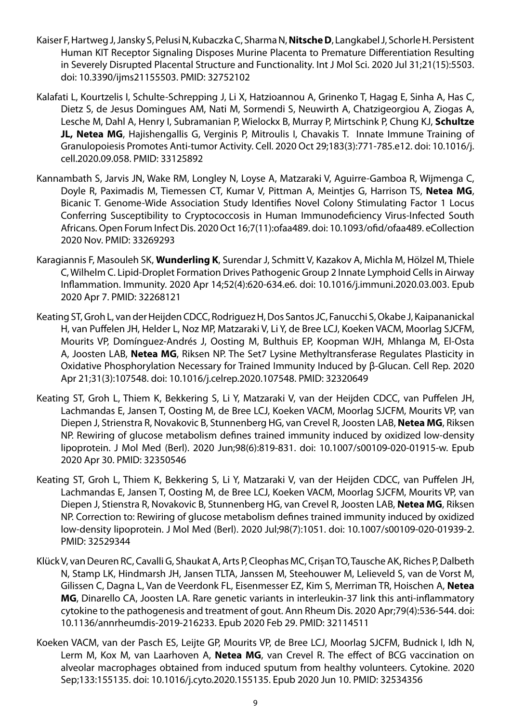- Kaiser F, Hartweg J, Jansky S, Pelusi N, Kubaczka C, Sharma N, **Nitsche D**, Langkabel J, Schorle H. Persistent Human KIT Receptor Signaling Disposes Murine Placenta to Premature Differentiation Resulting in Severely Disrupted Placental Structure and Functionality. Int J Mol Sci. 2020 Jul 31;21(15):5503. doi: 10.3390/ijms21155503. PMID: 32752102
- Kalafati L, Kourtzelis I, Schulte-Schrepping J, Li X, Hatzioannou A, Grinenko T, Hagag E, Sinha A, Has C, Dietz S, de Jesus Domingues AM, Nati M, Sormendi S, Neuwirth A, Chatzigeorgiou A, Ziogas A, Lesche M, Dahl A, Henry I, Subramanian P, Wielockx B, Murray P, Mirtschink P, Chung KJ, **Schultze JL, Netea MG**, Hajishengallis G, Verginis P, Mitroulis I, Chavakis T. Innate Immune Training of Granulopoiesis Promotes Anti-tumor Activity. Cell. 2020 Oct 29;183(3):771-785.e12. doi: 10.1016/j. cell.2020.09.058. PMID: 33125892
- Kannambath S, Jarvis JN, Wake RM, Longley N, Loyse A, Matzaraki V, Aguirre-Gamboa R, Wijmenga C, Doyle R, Paximadis M, Tiemessen CT, Kumar V, Pittman A, Meintjes G, Harrison TS, **Netea MG**, Bicanic T. Genome-Wide Association Study Identifies Novel Colony Stimulating Factor 1 Locus Conferring Susceptibility to Cryptococcosis in Human Immunodeficiency Virus-Infected South Africans. Open Forum Infect Dis. 2020 Oct 16;7(11):ofaa489. doi: 10.1093/ofid/ofaa489. eCollection 2020 Nov. PMID: 33269293
- Karagiannis F, Masouleh SK, **Wunderling K**, Surendar J, Schmitt V, Kazakov A, Michla M, Hölzel M, Thiele C, Wilhelm C. Lipid-Droplet Formation Drives Pathogenic Group 2 Innate Lymphoid Cells in Airway Inflammation. Immunity. 2020 Apr 14;52(4):620-634.e6. doi: 10.1016/j.immuni.2020.03.003. Epub 2020 Apr 7. PMID: 32268121
- Keating ST, Groh L, van der Heijden CDCC, Rodriguez H, Dos Santos JC, Fanucchi S, Okabe J, Kaipananickal H, van Puffelen JH, Helder L, Noz MP, Matzaraki V, Li Y, de Bree LCJ, Koeken VACM, Moorlag SJCFM, Mourits VP, Domínguez-Andrés J, Oosting M, Bulthuis EP, Koopman WJH, Mhlanga M, El-Osta A, Joosten LAB, **Netea MG**, Riksen NP. The Set7 Lysine Methyltransferase Regulates Plasticity in Oxidative Phosphorylation Necessary for Trained Immunity Induced by β-Glucan. Cell Rep. 2020 Apr 21;31(3):107548. doi: 10.1016/j.celrep.2020.107548. PMID: 32320649
- Keating ST, Groh L, Thiem K, Bekkering S, Li Y, Matzaraki V, van der Heijden CDCC, van Puffelen JH, Lachmandas E, Jansen T, Oosting M, de Bree LCJ, Koeken VACM, Moorlag SJCFM, Mourits VP, van Diepen J, Strienstra R, Novakovic B, Stunnenberg HG, van Crevel R, Joosten LAB, **Netea MG**, Riksen NP. Rewiring of glucose metabolism defines trained immunity induced by oxidized low-density lipoprotein. J Mol Med (Berl). 2020 Jun;98(6):819-831. doi: 10.1007/s00109-020-01915-w. Epub 2020 Apr 30. PMID: 32350546
- Keating ST, Groh L, Thiem K, Bekkering S, Li Y, Matzaraki V, van der Heijden CDCC, van Puffelen JH, Lachmandas E, Jansen T, Oosting M, de Bree LCJ, Koeken VACM, Moorlag SJCFM, Mourits VP, van Diepen J, Stienstra R, Novakovic B, Stunnenberg HG, van Crevel R, Joosten LAB, **Netea MG**, Riksen NP. Correction to: Rewiring of glucose metabolism defines trained immunity induced by oxidized low-density lipoprotein. J Mol Med (Berl). 2020 Jul;98(7):1051. doi: 10.1007/s00109-020-01939-2. PMID: 32529344
- Klück V, van Deuren RC, Cavalli G, Shaukat A, Arts P, Cleophas MC, Crișan TO, Tausche AK, Riches P, Dalbeth N, Stamp LK, Hindmarsh JH, Jansen TLTA, Janssen M, Steehouwer M, Lelieveld S, van de Vorst M, Gilissen C, Dagna L, Van de Veerdonk FL, Eisenmesser EZ, Kim S, Merriman TR, Hoischen A, **Netea MG**, Dinarello CA, Joosten LA. Rare genetic variants in interleukin-37 link this anti-inflammatory cytokine to the pathogenesis and treatment of gout. Ann Rheum Dis. 2020 Apr;79(4):536-544. doi: 10.1136/annrheumdis-2019-216233. Epub 2020 Feb 29. PMID: 32114511
- Koeken VACM, van der Pasch ES, Leijte GP, Mourits VP, de Bree LCJ, Moorlag SJCFM, Budnick I, Idh N, Lerm M, Kox M, van Laarhoven A, **Netea MG**, van Crevel R. The effect of BCG vaccination on alveolar macrophages obtained from induced sputum from healthy volunteers. Cytokine. 2020 Sep;133:155135. doi: 10.1016/j.cyto.2020.155135. Epub 2020 Jun 10. PMID: 32534356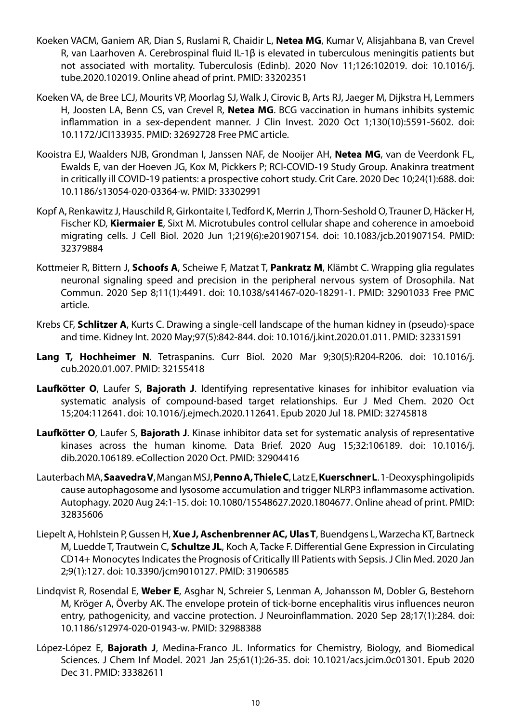- Koeken VACM, Ganiem AR, Dian S, Ruslami R, Chaidir L, **Netea MG**, Kumar V, Alisjahbana B, van Crevel R, van Laarhoven A. Cerebrospinal fluid IL-1β is elevated in tuberculous meningitis patients but not associated with mortality. Tuberculosis (Edinb). 2020 Nov 11;126:102019. doi: 10.1016/j. tube.2020.102019. Online ahead of print. PMID: 33202351
- Koeken VA, de Bree LCJ, Mourits VP, Moorlag SJ, Walk J, Cirovic B, Arts RJ, Jaeger M, Dijkstra H, Lemmers H, Joosten LA, Benn CS, van Crevel R, **Netea MG**. BCG vaccination in humans inhibits systemic inflammation in a sex-dependent manner. J Clin Invest. 2020 Oct 1;130(10):5591-5602. doi: 10.1172/JCI133935. PMID: 32692728 Free PMC article.
- Kooistra EJ, Waalders NJB, Grondman I, Janssen NAF, de Nooijer AH, **Netea MG**, van de Veerdonk FL, Ewalds E, van der Hoeven JG, Kox M, Pickkers P; RCI-COVID-19 Study Group. Anakinra treatment in critically ill COVID-19 patients: a prospective cohort study. Crit Care. 2020 Dec 10;24(1):688. doi: 10.1186/s13054-020-03364-w. PMID: 33302991
- Kopf A, Renkawitz J, Hauschild R, Girkontaite I, Tedford K, Merrin J, Thorn-Seshold O, Trauner D, Häcker H, Fischer KD, **Kiermaier E**, Sixt M. Microtubules control cellular shape and coherence in amoeboid migrating cells. J Cell Biol. 2020 Jun 1;219(6):e201907154. doi: 10.1083/jcb.201907154. PMID: 32379884
- Kottmeier R, Bittern J, **Schoofs A**, Scheiwe F, Matzat T, **Pankratz M**, Klämbt C. Wrapping glia regulates neuronal signaling speed and precision in the peripheral nervous system of Drosophila. Nat Commun. 2020 Sep 8;11(1):4491. doi: 10.1038/s41467-020-18291-1. PMID: 32901033 Free PMC article.
- Krebs CF, **Schlitzer A**, Kurts C. Drawing a single-cell landscape of the human kidney in (pseudo)-space and time. Kidney Int. 2020 May;97(5):842-844. doi: 10.1016/j.kint.2020.01.011. PMID: 32331591
- **Lang T, Hochheimer N**. Tetraspanins. Curr Biol. 2020 Mar 9;30(5):R204-R206. doi: 10.1016/j. cub.2020.01.007. PMID: 32155418
- **Laufkötter O**, Laufer S, **Bajorath J**. Identifying representative kinases for inhibitor evaluation via systematic analysis of compound-based target relationships. Eur J Med Chem. 2020 Oct 15;204:112641. doi: 10.1016/j.ejmech.2020.112641. Epub 2020 Jul 18. PMID: 32745818
- **Laufkötter O**, Laufer S, **Bajorath J**. Kinase inhibitor data set for systematic analysis of representative kinases across the human kinome. Data Brief. 2020 Aug 15;32:106189. doi: 10.1016/j. dib.2020.106189. eCollection 2020 Oct. PMID: 32904416
- Lauterbach MA, **Saavedra V**, Mangan MSJ, **Penno A, Thiele C**, Latz E, **Kuerschner L**. 1-Deoxysphingolipids cause autophagosome and lysosome accumulation and trigger NLRP3 inflammasome activation. Autophagy. 2020 Aug 24:1-15. doi: 10.1080/15548627.2020.1804677. Online ahead of print. PMID: 32835606
- Liepelt A, Hohlstein P, Gussen H, **Xue J, Aschenbrenner AC, Ulas T**, Buendgens L, Warzecha KT, Bartneck M, Luedde T, Trautwein C, **Schultze JL**, Koch A, Tacke F. Differential Gene Expression in Circulating CD14+ Monocytes Indicates the Prognosis of Critically Ill Patients with Sepsis. J Clin Med. 2020 Jan 2;9(1):127. doi: 10.3390/jcm9010127. PMID: 31906585
- Lindqvist R, Rosendal E, **Weber E**, Asghar N, Schreier S, Lenman A, Johansson M, Dobler G, Bestehorn M, Kröger A, Överby AK. The envelope protein of tick-borne encephalitis virus influences neuron entry, pathogenicity, and vaccine protection. J Neuroinflammation. 2020 Sep 28;17(1):284. doi: 10.1186/s12974-020-01943-w. PMID: 32988388
- López-López E, **Bajorath J**, Medina-Franco JL. Informatics for Chemistry, Biology, and Biomedical Sciences. J Chem Inf Model. 2021 Jan 25;61(1):26-35. doi: 10.1021/acs.jcim.0c01301. Epub 2020 Dec 31. PMID: 33382611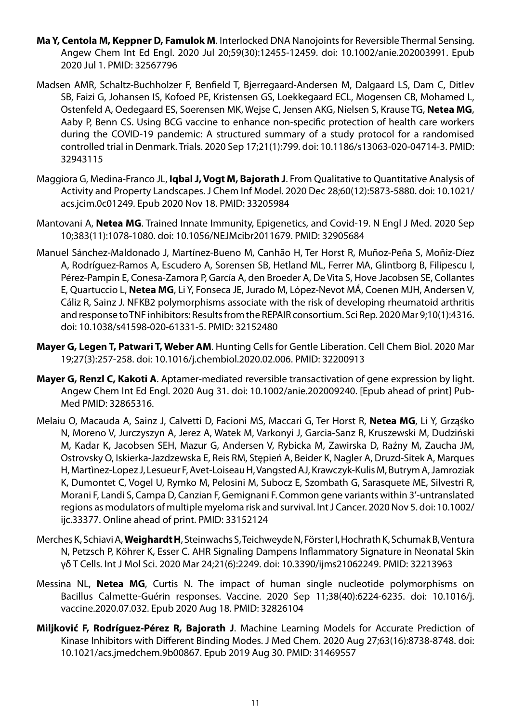- **Ma Y, Centola M, Keppner D, Famulok M**. Interlocked DNA Nanojoints for Reversible Thermal Sensing. Angew Chem Int Ed Engl. 2020 Jul 20;59(30):12455-12459. doi: 10.1002/anie.202003991. Epub 2020 Jul 1. PMID: 32567796
- Madsen AMR, Schaltz-Buchholzer F, Benfield T, Bjerregaard-Andersen M, Dalgaard LS, Dam C, Ditlev SB, Faizi G, Johansen IS, Kofoed PE, Kristensen GS, Loekkegaard ECL, Mogensen CB, Mohamed L, Ostenfeld A, Oedegaard ES, Soerensen MK, Wejse C, Jensen AKG, Nielsen S, Krause TG, **Netea MG**, Aaby P, Benn CS. Using BCG vaccine to enhance non-specific protection of health care workers during the COVID-19 pandemic: A structured summary of a study protocol for a randomised controlled trial in Denmark. Trials. 2020 Sep 17;21(1):799. doi: 10.1186/s13063-020-04714-3. PMID: 32943115
- Maggiora G, Medina-Franco JL, **Iqbal J, Vogt M, Bajorath J**. From Qualitative to Quantitative Analysis of Activity and Property Landscapes. J Chem Inf Model. 2020 Dec 28;60(12):5873-5880. doi: 10.1021/ acs.jcim.0c01249. Epub 2020 Nov 18. PMID: 33205984
- Mantovani A, **Netea MG**. Trained Innate Immunity, Epigenetics, and Covid-19. N Engl J Med. 2020 Sep 10;383(11):1078-1080. doi: 10.1056/NEJMcibr2011679. PMID: 32905684
- Manuel Sánchez-Maldonado J, Martínez-Bueno M, Canhão H, Ter Horst R, Muñoz-Peña S, Moñiz-Díez A, Rodríguez-Ramos A, Escudero A, Sorensen SB, Hetland ML, Ferrer MA, Glintborg B, Filipescu I, Pérez-Pampin E, Conesa-Zamora P, García A, den Broeder A, De Vita S, Hove Jacobsen SE, Collantes E, Quartuccio L, **Netea MG**, Li Y, Fonseca JE, Jurado M, López-Nevot MÁ, Coenen MJH, Andersen V, Cáliz R, Sainz J. NFKB2 polymorphisms associate with the risk of developing rheumatoid arthritis and response to TNF inhibitors: Results from the REPAIR consortium. Sci Rep. 2020 Mar 9;10(1):4316. doi: 10.1038/s41598-020-61331-5. PMID: 32152480
- **Mayer G, Legen T, Patwari T, Weber AM**. Hunting Cells for Gentle Liberation. Cell Chem Biol. 2020 Mar 19;27(3):257-258. doi: 10.1016/j.chembiol.2020.02.006. PMID: 32200913
- **Mayer G, Renzl C, Kakoti A**. Aptamer-mediated reversible transactivation of gene expression by light. Angew Chem Int Ed Engl. 2020 Aug 31. doi: 10.1002/anie.202009240. [Epub ahead of print] Pub-Med PMID: 32865316.
- Melaiu O, Macauda A, Sainz J, Calvetti D, Facioni MS, Maccari G, Ter Horst R, **Netea MG**, Li Y, Grząśko N, Moreno V, Jurczyszyn A, Jerez A, Watek M, Varkonyi J, Garcia-Sanz R, Kruszewski M, Dudziński M, Kadar K, Jacobsen SEH, Mazur G, Andersen V, Rybicka M, Zawirska D, Raźny M, Zaucha JM, Ostrovsky O, Iskierka-Jazdzewska E, Reis RM, Stępień A, Beider K, Nagler A, Druzd-Sitek A, Marques H, Martìnez-Lopez J, Lesueur F, Avet-Loiseau H, Vangsted AJ, Krawczyk-Kulis M, Butrym A, Jamroziak K, Dumontet C, Vogel U, Rymko M, Pelosini M, Subocz E, Szombath G, Sarasquete ME, Silvestri R, Morani F, Landi S, Campa D, Canzian F, Gemignani F. Common gene variants within 3'-untranslated regions as modulators of multiple myeloma risk and survival. Int J Cancer. 2020 Nov 5. doi: 10.1002/ ijc.33377. Online ahead of print. PMID: 33152124
- Merches K, Schiavi A, **Weighardt H**, Steinwachs S, Teichweyde N, Förster I, Hochrath K, Schumak B, Ventura N, Petzsch P, Köhrer K, Esser C. AHR Signaling Dampens Inflammatory Signature in Neonatal Skin γδ T Cells. Int J Mol Sci. 2020 Mar 24;21(6):2249. doi: 10.3390/ijms21062249. PMID: 32213963
- Messina NL, **Netea MG**, Curtis N. The impact of human single nucleotide polymorphisms on Bacillus Calmette-Guérin responses. Vaccine. 2020 Sep 11;38(40):6224-6235. doi: 10.1016/j. vaccine.2020.07.032. Epub 2020 Aug 18. PMID: 32826104
- **Miljković F, Rodríguez-Pérez R, Bajorath J**. Machine Learning Models for Accurate Prediction of Kinase Inhibitors with Different Binding Modes. J Med Chem. 2020 Aug 27;63(16):8738-8748. doi: 10.1021/acs.jmedchem.9b00867. Epub 2019 Aug 30. PMID: 31469557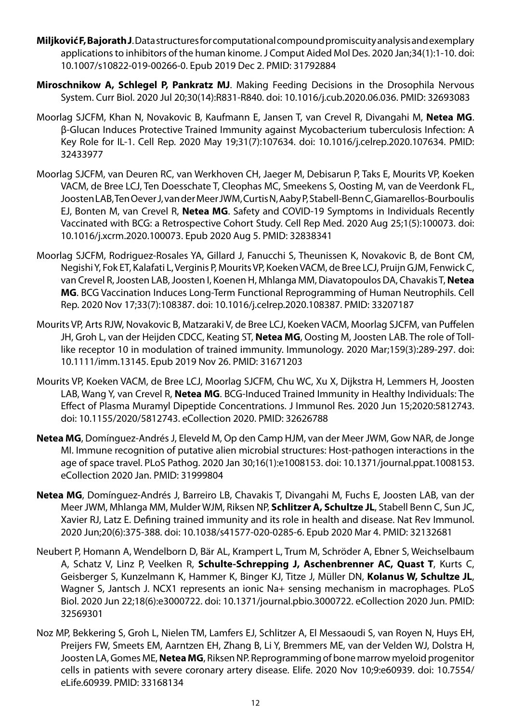- **Miljković F, Bajorath J**. Data structures for computational compound promiscuity analysis and exemplary applications to inhibitors of the human kinome. J Comput Aided Mol Des. 2020 Jan;34(1):1-10. doi: 10.1007/s10822-019-00266-0. Epub 2019 Dec 2. PMID: 31792884
- **Miroschnikow A, Schlegel P, Pankratz MJ**. Making Feeding Decisions in the Drosophila Nervous System. Curr Biol. 2020 Jul 20;30(14):R831-R840. doi: 10.1016/j.cub.2020.06.036. PMID: 32693083
- Moorlag SJCFM, Khan N, Novakovic B, Kaufmann E, Jansen T, van Crevel R, Divangahi M, **Netea MG**. β-Glucan Induces Protective Trained Immunity against Mycobacterium tuberculosis Infection: A Key Role for IL-1. Cell Rep. 2020 May 19;31(7):107634. doi: 10.1016/j.celrep.2020.107634. PMID: 32433977
- Moorlag SJCFM, van Deuren RC, van Werkhoven CH, Jaeger M, Debisarun P, Taks E, Mourits VP, Koeken VACM, de Bree LCJ, Ten Doesschate T, Cleophas MC, Smeekens S, Oosting M, van de Veerdonk FL, Joosten LAB, Ten Oever J, van der Meer JWM, Curtis N, Aaby P, Stabell-Benn C, Giamarellos-Bourboulis EJ, Bonten M, van Crevel R, **Netea MG**. Safety and COVID-19 Symptoms in Individuals Recently Vaccinated with BCG: a Retrospective Cohort Study. Cell Rep Med. 2020 Aug 25;1(5):100073. doi: 10.1016/j.xcrm.2020.100073. Epub 2020 Aug 5. PMID: 32838341
- Moorlag SJCFM, Rodriguez-Rosales YA, Gillard J, Fanucchi S, Theunissen K, Novakovic B, de Bont CM, Negishi Y, Fok ET, Kalafati L, Verginis P, Mourits VP, Koeken VACM, de Bree LCJ, Pruijn GJM, Fenwick C, van Crevel R, Joosten LAB, Joosten I, Koenen H, Mhlanga MM, Diavatopoulos DA, Chavakis T, **Netea MG**. BCG Vaccination Induces Long-Term Functional Reprogramming of Human Neutrophils. Cell Rep. 2020 Nov 17;33(7):108387. doi: 10.1016/j.celrep.2020.108387. PMID: 33207187
- Mourits VP, Arts RJW, Novakovic B, Matzaraki V, de Bree LCJ, Koeken VACM, Moorlag SJCFM, van Puffelen JH, Groh L, van der Heijden CDCC, Keating ST, **Netea MG**, Oosting M, Joosten LAB. The role of Tolllike receptor 10 in modulation of trained immunity. Immunology. 2020 Mar;159(3):289-297. doi: 10.1111/imm.13145. Epub 2019 Nov 26. PMID: 31671203
- Mourits VP, Koeken VACM, de Bree LCJ, Moorlag SJCFM, Chu WC, Xu X, Dijkstra H, Lemmers H, Joosten LAB, Wang Y, van Crevel R, **Netea MG**. BCG-Induced Trained Immunity in Healthy Individuals: The Effect of Plasma Muramyl Dipeptide Concentrations. J Immunol Res. 2020 Jun 15;2020:5812743. doi: 10.1155/2020/5812743. eCollection 2020. PMID: 32626788
- **Netea MG**, Domínguez-Andrés J, Eleveld M, Op den Camp HJM, van der Meer JWM, Gow NAR, de Jonge MI. Immune recognition of putative alien microbial structures: Host-pathogen interactions in the age of space travel. PLoS Pathog. 2020 Jan 30;16(1):e1008153. doi: 10.1371/journal.ppat.1008153. eCollection 2020 Jan. PMID: 31999804
- **Netea MG**, Domínguez-Andrés J, Barreiro LB, Chavakis T, Divangahi M, Fuchs E, Joosten LAB, van der Meer JWM, Mhlanga MM, Mulder WJM, Riksen NP, **Schlitzer A, Schultze JL**, Stabell Benn C, Sun JC, Xavier RJ, Latz E. Defining trained immunity and its role in health and disease. Nat Rev Immunol. 2020 Jun;20(6):375-388. doi: 10.1038/s41577-020-0285-6. Epub 2020 Mar 4. PMID: 32132681
- Neubert P, Homann A, Wendelborn D, Bär AL, Krampert L, Trum M, Schröder A, Ebner S, Weichselbaum A, Schatz V, Linz P, Veelken R, **Schulte-Schrepping J, Aschenbrenner AC, Quast T**, Kurts C, Geisberger S, Kunzelmann K, Hammer K, Binger KJ, Titze J, Müller DN, **Kolanus W, Schultze JL**, Wagner S, Jantsch J. NCX1 represents an ionic Na+ sensing mechanism in macrophages. PLoS Biol. 2020 Jun 22;18(6):e3000722. doi: 10.1371/journal.pbio.3000722. eCollection 2020 Jun. PMID: 32569301
- Noz MP, Bekkering S, Groh L, Nielen TM, Lamfers EJ, Schlitzer A, El Messaoudi S, van Royen N, Huys EH, Preijers FW, Smeets EM, Aarntzen EH, Zhang B, Li Y, Bremmers ME, van der Velden WJ, Dolstra H, Joosten LA, Gomes ME, **Netea MG**, Riksen NP. Reprogramming of bone marrow myeloid progenitor cells in patients with severe coronary artery disease. Elife. 2020 Nov 10;9:e60939. doi: 10.7554/ eLife.60939. PMID: 33168134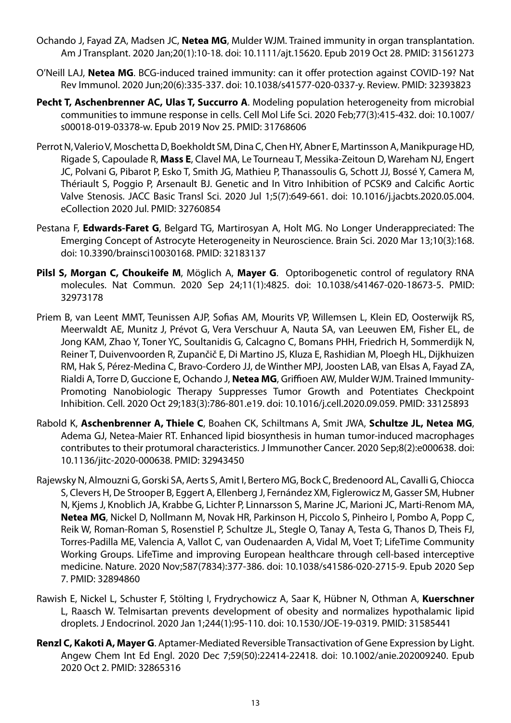- Ochando J, Fayad ZA, Madsen JC, **Netea MG**, Mulder WJM. Trained immunity in organ transplantation. Am J Transplant. 2020 Jan;20(1):10-18. doi: 10.1111/ajt.15620. Epub 2019 Oct 28. PMID: 31561273
- O'Neill LAJ, **Netea MG**. BCG-induced trained immunity: can it offer protection against COVID-19? Nat Rev Immunol. 2020 Jun;20(6):335-337. doi: 10.1038/s41577-020-0337-y. Review. PMID: 32393823
- **Pecht T, Aschenbrenner AC, Ulas T, Succurro A**. Modeling population heterogeneity from microbial communities to immune response in cells. Cell Mol Life Sci. 2020 Feb;77(3):415-432. doi: 10.1007/ s00018-019-03378-w. Epub 2019 Nov 25. PMID: 31768606
- Perrot N, Valerio V, Moschetta D, Boekholdt SM, Dina C, Chen HY, Abner E, Martinsson A, Manikpurage HD, Rigade S, Capoulade R, **Mass E**, Clavel MA, Le Tourneau T, Messika-Zeitoun D, Wareham NJ, Engert JC, Polvani G, Pibarot P, Esko T, Smith JG, Mathieu P, Thanassoulis G, Schott JJ, Bossé Y, Camera M, Thériault S, Poggio P, Arsenault BJ. Genetic and In Vitro Inhibition of PCSK9 and Calcific Aortic Valve Stenosis. JACC Basic Transl Sci. 2020 Jul 1;5(7):649-661. doi: 10.1016/j.jacbts.2020.05.004. eCollection 2020 Jul. PMID: 32760854
- Pestana F, **Edwards-Faret G**, Belgard TG, Martirosyan A, Holt MG. No Longer Underappreciated: The Emerging Concept of Astrocyte Heterogeneity in Neuroscience. Brain Sci. 2020 Mar 13;10(3):168. doi: 10.3390/brainsci10030168. PMID: 32183137
- **Pilsl S, Morgan C, Choukeife M**, Möglich A, **Mayer G**. Optoribogenetic control of regulatory RNA molecules. Nat Commun. 2020 Sep 24;11(1):4825. doi: 10.1038/s41467-020-18673-5. PMID: 32973178
- Priem B, van Leent MMT, Teunissen AJP, Sofias AM, Mourits VP, Willemsen L, Klein ED, Oosterwijk RS, Meerwaldt AE, Munitz J, Prévot G, Vera Verschuur A, Nauta SA, van Leeuwen EM, Fisher EL, de Jong KAM, Zhao Y, Toner YC, Soultanidis G, Calcagno C, Bomans PHH, Friedrich H, Sommerdijk N, Reiner T, Duivenvoorden R, Zupančič E, Di Martino JS, Kluza E, Rashidian M, Ploegh HL, Dijkhuizen RM, Hak S, Pérez-Medina C, Bravo-Cordero JJ, de Winther MPJ, Joosten LAB, van Elsas A, Fayad ZA, Rialdi A, Torre D, Guccione E, Ochando J, **Netea MG**, Griffioen AW, Mulder WJM. Trained Immunity-Promoting Nanobiologic Therapy Suppresses Tumor Growth and Potentiates Checkpoint Inhibition. Cell. 2020 Oct 29;183(3):786-801.e19. doi: 10.1016/j.cell.2020.09.059. PMID: 33125893
- Rabold K, **Aschenbrenner A, Thiele C**, Boahen CK, Schiltmans A, Smit JWA, **Schultze JL, Netea MG**, Adema GJ, Netea-Maier RT. Enhanced lipid biosynthesis in human tumor-induced macrophages contributes to their protumoral characteristics. J Immunother Cancer. 2020 Sep;8(2):e000638. doi: 10.1136/jitc-2020-000638. PMID: 32943450
- Rajewsky N, Almouzni G, Gorski SA, Aerts S, Amit I, Bertero MG, Bock C, Bredenoord AL, Cavalli G, Chiocca S, Clevers H, De Strooper B, Eggert A, Ellenberg J, Fernández XM, Figlerowicz M, Gasser SM, Hubner N, Kjems J, Knoblich JA, Krabbe G, Lichter P, Linnarsson S, Marine JC, Marioni JC, Marti-Renom MA, **Netea MG**, Nickel D, Nollmann M, Novak HR, Parkinson H, Piccolo S, Pinheiro I, Pombo A, Popp C, Reik W, Roman-Roman S, Rosenstiel P, Schultze JL, Stegle O, Tanay A, Testa G, Thanos D, Theis FJ, Torres-Padilla ME, Valencia A, Vallot C, van Oudenaarden A, Vidal M, Voet T; LifeTime Community Working Groups. LifeTime and improving European healthcare through cell-based interceptive medicine. Nature. 2020 Nov;587(7834):377-386. doi: 10.1038/s41586-020-2715-9. Epub 2020 Sep 7. PMID: 32894860
- Rawish E, Nickel L, Schuster F, Stölting I, Frydrychowicz A, Saar K, Hübner N, Othman A, **Kuerschner**  L, Raasch W. Telmisartan prevents development of obesity and normalizes hypothalamic lipid droplets. J Endocrinol. 2020 Jan 1;244(1):95-110. doi: 10.1530/JOE-19-0319. PMID: 31585441
- **Renzl C, Kakoti A, Mayer G**. Aptamer-Mediated Reversible Transactivation of Gene Expression by Light. Angew Chem Int Ed Engl. 2020 Dec 7;59(50):22414-22418. doi: 10.1002/anie.202009240. Epub 2020 Oct 2. PMID: 32865316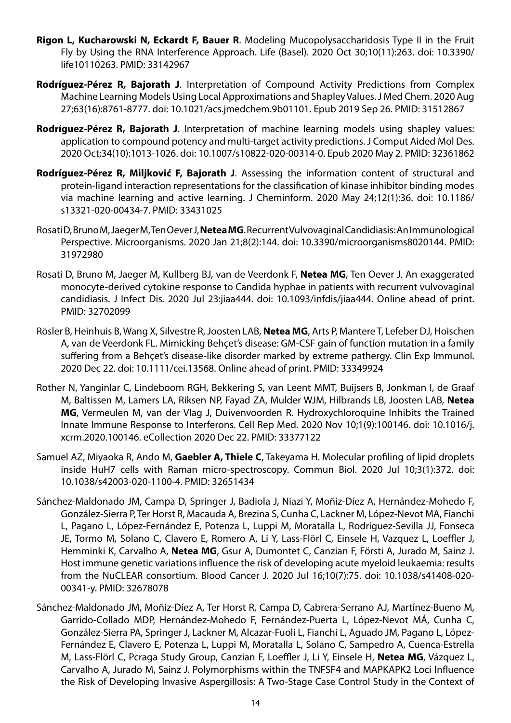- **Rigon L, Kucharowski N, Eckardt F, Bauer R**. Modeling Mucopolysaccharidosis Type II in the Fruit Fly by Using the RNA Interference Approach. Life (Basel). 2020 Oct 30;10(11):263. doi: 10.3390/ life10110263. PMID: 33142967
- **Rodríguez-Pérez R, Bajorath J**. Interpretation of Compound Activity Predictions from Complex Machine Learning Models Using Local Approximations and Shapley Values. J Med Chem. 2020 Aug 27;63(16):8761-8777. doi: 10.1021/acs.jmedchem.9b01101. Epub 2019 Sep 26. PMID: 31512867
- **Rodríguez-Pérez R, Bajorath J**. Interpretation of machine learning models using shapley values: application to compound potency and multi-target activity predictions. J Comput Aided Mol Des. 2020 Oct;34(10):1013-1026. doi: 10.1007/s10822-020-00314-0. Epub 2020 May 2. PMID: 32361862
- **Rodríguez-Pérez R, Miljković F, Bajorath J**. Assessing the information content of structural and protein-ligand interaction representations for the classification of kinase inhibitor binding modes via machine learning and active learning. J Cheminform. 2020 May 24;12(1):36. doi: 10.1186/ s13321-020-00434-7. PMID: 33431025
- Rosati D, Bruno M, Jaeger M, Ten Oever J, **Netea MG**. Recurrent Vulvovaginal Candidiasis: An Immunological Perspective. Microorganisms. 2020 Jan 21;8(2):144. doi: 10.3390/microorganisms8020144. PMID: 31972980
- Rosati D, Bruno M, Jaeger M, Kullberg BJ, van de Veerdonk F, **Netea MG**, Ten Oever J. An exaggerated monocyte-derived cytokine response to Candida hyphae in patients with recurrent vulvovaginal candidiasis. J Infect Dis. 2020 Jul 23:jiaa444. doi: 10.1093/infdis/jiaa444. Online ahead of print. PMID: 32702099
- Rösler B, Heinhuis B, Wang X, Silvestre R, Joosten LAB, **Netea MG**, Arts P, Mantere T, Lefeber DJ, Hoischen A, van de Veerdonk FL. Mimicking Behçet's disease: GM-CSF gain of function mutation in a family suffering from a Behçet's disease-like disorder marked by extreme pathergy. Clin Exp Immunol. 2020 Dec 22. doi: 10.1111/cei.13568. Online ahead of print. PMID: 33349924
- Rother N, Yanginlar C, Lindeboom RGH, Bekkering S, van Leent MMT, Buijsers B, Jonkman I, de Graaf M, Baltissen M, Lamers LA, Riksen NP, Fayad ZA, Mulder WJM, Hilbrands LB, Joosten LAB, **Netea MG**, Vermeulen M, van der Vlag J, Duivenvoorden R. Hydroxychloroquine Inhibits the Trained Innate Immune Response to Interferons. Cell Rep Med. 2020 Nov 10;1(9):100146. doi: 10.1016/j. xcrm.2020.100146. eCollection 2020 Dec 22. PMID: 33377122
- Samuel AZ, Miyaoka R, Ando M, **Gaebler A, Thiele C**, Takeyama H. Molecular profiling of lipid droplets inside HuH7 cells with Raman micro-spectroscopy. Commun Biol. 2020 Jul 10;3(1):372. doi: 10.1038/s42003-020-1100-4. PMID: 32651434
- Sánchez-Maldonado JM, Campa D, Springer J, Badiola J, Niazi Y, Moñiz-Díez A, Hernández-Mohedo F, González-Sierra P, Ter Horst R, Macauda A, Brezina S, Cunha C, Lackner M, López-Nevot MA, Fianchi L, Pagano L, López-Fernández E, Potenza L, Luppi M, Moratalla L, Rodríguez-Sevilla JJ, Fonseca JE, Tormo M, Solano C, Clavero E, Romero A, Li Y, Lass-Flörl C, Einsele H, Vazquez L, Loeffler J, Hemminki K, Carvalho A, **Netea MG**, Gsur A, Dumontet C, Canzian F, Försti A, Jurado M, Sainz J. Host immune genetic variations influence the risk of developing acute myeloid leukaemia: results from the NuCLEAR consortium. Blood Cancer J. 2020 Jul 16;10(7):75. doi: 10.1038/s41408-020- 00341-y. PMID: 32678078
- Sánchez-Maldonado JM, Moñiz-Díez A, Ter Horst R, Campa D, Cabrera-Serrano AJ, Martínez-Bueno M, Garrido-Collado MDP, Hernández-Mohedo F, Fernández-Puerta L, López-Nevot MÁ, Cunha C, González-Sierra PA, Springer J, Lackner M, Alcazar-Fuoli L, Fianchi L, Aguado JM, Pagano L, López-Fernández E, Clavero E, Potenza L, Luppi M, Moratalla L, Solano C, Sampedro A, Cuenca-Estrella M, Lass-Flörl C, Pcraga Study Group, Canzian F, Loeffler J, Li Y, Einsele H, **Netea MG**, Vázquez L, Carvalho A, Jurado M, Sainz J. Polymorphisms within the TNFSF4 and MAPKAPK2 Loci Influence the Risk of Developing Invasive Aspergillosis: A Two-Stage Case Control Study in the Context of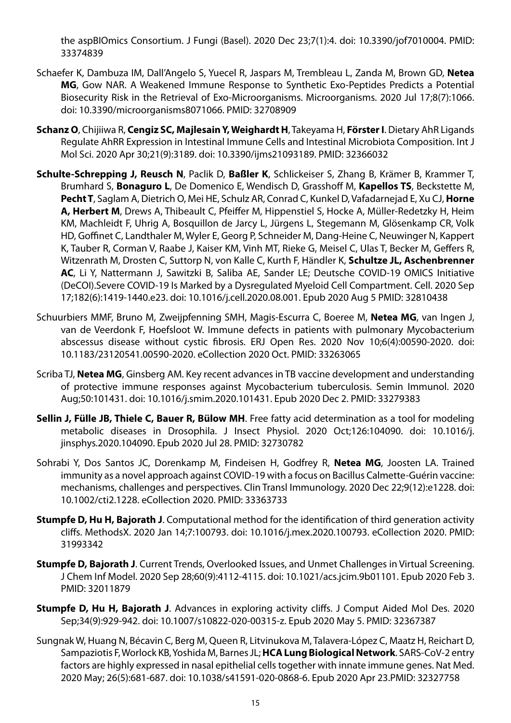the aspBIOmics Consortium. J Fungi (Basel). 2020 Dec 23;7(1):4. doi: 10.3390/jof7010004. PMID: 33374839

- Schaefer K, Dambuza IM, Dall'Angelo S, Yuecel R, Jaspars M, Trembleau L, Zanda M, Brown GD, **Netea MG**, Gow NAR. A Weakened Immune Response to Synthetic Exo-Peptides Predicts a Potential Biosecurity Risk in the Retrieval of Exo-Microorganisms. Microorganisms. 2020 Jul 17;8(7):1066. doi: 10.3390/microorganisms8071066. PMID: 32708909
- **Schanz O**, Chijiiwa R, **Cengiz SC, Majlesain Y, Weighardt H**, Takeyama H, **Förster I**. Dietary AhR Ligands Regulate AhRR Expression in Intestinal Immune Cells and Intestinal Microbiota Composition. Int J Mol Sci. 2020 Apr 30;21(9):3189. doi: 10.3390/ijms21093189. PMID: 32366032
- **Schulte-Schrepping J, Reusch N**, Paclik D, **Baßler K**, Schlickeiser S, Zhang B, Krämer B, Krammer T, Brumhard S, **Bonaguro L**, De Domenico E, Wendisch D, Grasshoff M, **Kapellos TS**, Beckstette M, **Pecht T**, Saglam A, Dietrich O, Mei HE, Schulz AR, Conrad C, Kunkel D, Vafadarnejad E, Xu CJ, **Horne A, Herbert M**, Drews A, Thibeault C, Pfeiffer M, Hippenstiel S, Hocke A, Müller-Redetzky H, Heim KM, Machleidt F, Uhrig A, Bosquillon de Jarcy L, Jürgens L, Stegemann M, Glösenkamp CR, Volk HD, Goffinet C, Landthaler M, Wyler E, Georg P, Schneider M, Dang-Heine C, Neuwinger N, Kappert K, Tauber R, Corman V, Raabe J, Kaiser KM, Vinh MT, Rieke G, Meisel C, Ulas T, Becker M, Geffers R, Witzenrath M, Drosten C, Suttorp N, von Kalle C, Kurth F, Händler K, **Schultze JL, Aschenbrenner AC**, Li Y, Nattermann J, Sawitzki B, Saliba AE, Sander LE; Deutsche COVID-19 OMICS Initiative (DeCOI).Severe COVID-19 Is Marked by a Dysregulated Myeloid Cell Compartment. Cell. 2020 Sep 17;182(6):1419-1440.e23. doi: 10.1016/j.cell.2020.08.001. Epub 2020 Aug 5 PMID: 32810438
- Schuurbiers MMF, Bruno M, Zweijpfenning SMH, Magis-Escurra C, Boeree M, **Netea MG**, van Ingen J, van de Veerdonk F, Hoefsloot W. Immune defects in patients with pulmonary Mycobacterium abscessus disease without cystic fibrosis. ERJ Open Res. 2020 Nov 10;6(4):00590-2020. doi: 10.1183/23120541.00590-2020. eCollection 2020 Oct. PMID: 33263065
- Scriba TJ, **Netea MG**, Ginsberg AM. Key recent advances in TB vaccine development and understanding of protective immune responses against Mycobacterium tuberculosis. Semin Immunol. 2020 Aug;50:101431. doi: 10.1016/j.smim.2020.101431. Epub 2020 Dec 2. PMID: 33279383
- **Sellin J, Fülle JB, Thiele C, Bauer R, Bülow MH**. Free fatty acid determination as a tool for modeling metabolic diseases in Drosophila. J Insect Physiol. 2020 Oct;126:104090. doi: 10.1016/j. jinsphys.2020.104090. Epub 2020 Jul 28. PMID: 32730782
- Sohrabi Y, Dos Santos JC, Dorenkamp M, Findeisen H, Godfrey R, **Netea MG**, Joosten LA. Trained immunity as a novel approach against COVID-19 with a focus on Bacillus Calmette-Guérin vaccine: mechanisms, challenges and perspectives. Clin Transl Immunology. 2020 Dec 22;9(12):e1228. doi: 10.1002/cti2.1228. eCollection 2020. PMID: 33363733
- **Stumpfe D, Hu H, Bajorath J**. Computational method for the identification of third generation activity cliffs. MethodsX. 2020 Jan 14;7:100793. doi: 10.1016/j.mex.2020.100793. eCollection 2020. PMID: 31993342
- **Stumpfe D, Bajorath J**. Current Trends, Overlooked Issues, and Unmet Challenges in Virtual Screening. J Chem Inf Model. 2020 Sep 28;60(9):4112-4115. doi: 10.1021/acs.jcim.9b01101. Epub 2020 Feb 3. PMID: 32011879
- **Stumpfe D, Hu H, Bajorath J**. Advances in exploring activity cliffs. J Comput Aided Mol Des. 2020 Sep;34(9):929-942. doi: 10.1007/s10822-020-00315-z. Epub 2020 May 5. PMID: 32367387
- Sungnak W, Huang N, Bécavin C, Berg M, Queen R, Litvinukova M, Talavera-López C, Maatz H, Reichart D, Sampaziotis F, Worlock KB, Yoshida M, Barnes JL; **HCA Lung Biological Network**. SARS-CoV-2 entry factors are highly expressed in nasal epithelial cells together with innate immune genes. Nat Med. 2020 May; 26(5):681-687. doi: 10.1038/s41591-020-0868-6. Epub 2020 Apr 23.PMID: 32327758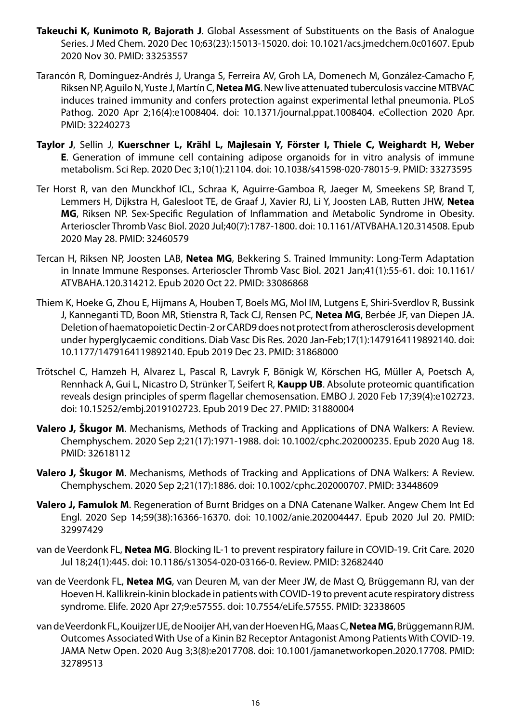- **Takeuchi K, Kunimoto R, Bajorath J**. Global Assessment of Substituents on the Basis of Analogue Series. J Med Chem. 2020 Dec 10;63(23):15013-15020. doi: 10.1021/acs.jmedchem.0c01607. Epub 2020 Nov 30. PMID: 33253557
- Tarancón R, Domínguez-Andrés J, Uranga S, Ferreira AV, Groh LA, Domenech M, González-Camacho F, Riksen NP, Aguilo N, Yuste J, Martín C, **Netea MG**. New live attenuated tuberculosis vaccine MTBVAC induces trained immunity and confers protection against experimental lethal pneumonia. PLoS Pathog. 2020 Apr 2;16(4):e1008404. doi: 10.1371/journal.ppat.1008404. eCollection 2020 Apr. PMID: 32240273
- **Taylor J**, Sellin J, **Kuerschner L, Krähl L, Majlesain Y, Förster I, Thiele C, Weighardt H, Weber E**. Generation of immune cell containing adipose organoids for in vitro analysis of immune metabolism. Sci Rep. 2020 Dec 3;10(1):21104. doi: 10.1038/s41598-020-78015-9. PMID: 33273595
- Ter Horst R, van den Munckhof ICL, Schraa K, Aguirre-Gamboa R, Jaeger M, Smeekens SP, Brand T, Lemmers H, Dijkstra H, Galesloot TE, de Graaf J, Xavier RJ, Li Y, Joosten LAB, Rutten JHW, **Netea MG**, Riksen NP. Sex-Specific Regulation of Inflammation and Metabolic Syndrome in Obesity. Arterioscler Thromb Vasc Biol. 2020 Jul;40(7):1787-1800. doi: 10.1161/ATVBAHA.120.314508. Epub 2020 May 28. PMID: 32460579
- Tercan H, Riksen NP, Joosten LAB, **Netea MG**, Bekkering S. Trained Immunity: Long-Term Adaptation in Innate Immune Responses. Arterioscler Thromb Vasc Biol. 2021 Jan;41(1):55-61. doi: 10.1161/ ATVBAHA.120.314212. Epub 2020 Oct 22. PMID: 33086868
- Thiem K, Hoeke G, Zhou E, Hijmans A, Houben T, Boels MG, Mol IM, Lutgens E, Shiri-Sverdlov R, Bussink J, Kanneganti TD, Boon MR, Stienstra R, Tack CJ, Rensen PC, **Netea MG**, Berbée JF, van Diepen JA. Deletion of haematopoietic Dectin-2 or CARD9 does not protect from atherosclerosis development under hyperglycaemic conditions. Diab Vasc Dis Res. 2020 Jan-Feb;17(1):1479164119892140. doi: 10.1177/1479164119892140. Epub 2019 Dec 23. PMID: 31868000
- Trötschel C, Hamzeh H, Alvarez L, Pascal R, Lavryk F, Bönigk W, Körschen HG, Müller A, Poetsch A, Rennhack A, Gui L, Nicastro D, Strünker T, Seifert R, **Kaupp UB**. Absolute proteomic quantification reveals design principles of sperm flagellar chemosensation. EMBO J. 2020 Feb 17;39(4):e102723. doi: 10.15252/embj.2019102723. Epub 2019 Dec 27. PMID: 31880004
- **Valero J, Škugor M**. Mechanisms, Methods of Tracking and Applications of DNA Walkers: A Review. Chemphyschem. 2020 Sep 2;21(17):1971-1988. doi: 10.1002/cphc.202000235. Epub 2020 Aug 18. PMID: 32618112
- **Valero J, Škugor M**. Mechanisms, Methods of Tracking and Applications of DNA Walkers: A Review. Chemphyschem. 2020 Sep 2;21(17):1886. doi: 10.1002/cphc.202000707. PMID: 33448609
- **Valero J, Famulok M**. Regeneration of Burnt Bridges on a DNA Catenane Walker. Angew Chem Int Ed Engl. 2020 Sep 14;59(38):16366-16370. doi: 10.1002/anie.202004447. Epub 2020 Jul 20. PMID: 32997429
- van de Veerdonk FL, **Netea MG**. Blocking IL-1 to prevent respiratory failure in COVID-19. Crit Care. 2020 Jul 18;24(1):445. doi: 10.1186/s13054-020-03166-0. Review. PMID: 32682440
- van de Veerdonk FL, **Netea MG**, van Deuren M, van der Meer JW, de Mast Q, Brüggemann RJ, van der Hoeven H. Kallikrein-kinin blockade in patients with COVID-19 to prevent acute respiratory distress syndrome. Elife. 2020 Apr 27;9:e57555. doi: 10.7554/eLife.57555. PMID: 32338605
- van de Veerdonk FL, Kouijzer IJE, de Nooijer AH, van der Hoeven HG, Maas C, **Netea MG**, Brüggemann RJM. Outcomes Associated With Use of a Kinin B2 Receptor Antagonist Among Patients With COVID-19. JAMA Netw Open. 2020 Aug 3;3(8):e2017708. doi: 10.1001/jamanetworkopen.2020.17708. PMID: 32789513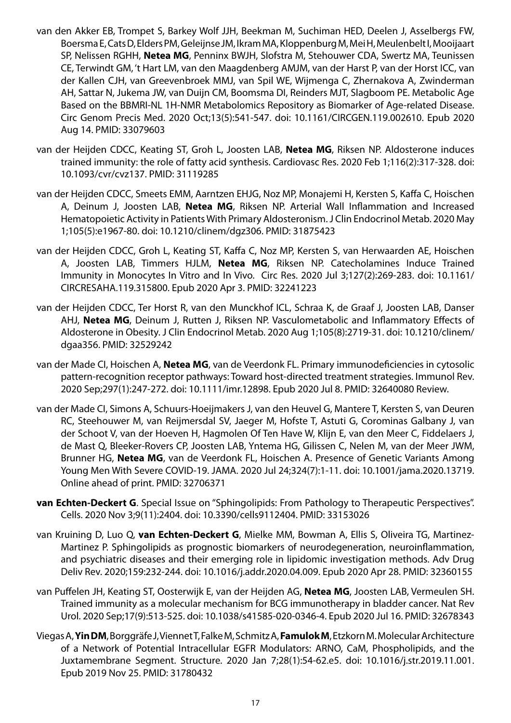- van den Akker EB, Trompet S, Barkey Wolf JJH, Beekman M, Suchiman HED, Deelen J, Asselbergs FW, Boersma E, Cats D, Elders PM, Geleijnse JM, Ikram MA, Kloppenburg M, Mei H, Meulenbelt I, Mooijaart SP, Nelissen RGHH, **Netea MG**, Penninx BWJH, Slofstra M, Stehouwer CDA, Swertz MA, Teunissen CE, Terwindt GM, 't Hart LM, van den Maagdenberg AMJM, van der Harst P, van der Horst ICC, van der Kallen CJH, van Greevenbroek MMJ, van Spil WE, Wijmenga C, Zhernakova A, Zwinderman AH, Sattar N, Jukema JW, van Duijn CM, Boomsma DI, Reinders MJT, Slagboom PE. Metabolic Age Based on the BBMRI-NL 1H-NMR Metabolomics Repository as Biomarker of Age-related Disease. Circ Genom Precis Med. 2020 Oct;13(5):541-547. doi: 10.1161/CIRCGEN.119.002610. Epub 2020 Aug 14. PMID: 33079603
- van der Heijden CDCC, Keating ST, Groh L, Joosten LAB, **Netea MG**, Riksen NP. Aldosterone induces trained immunity: the role of fatty acid synthesis. Cardiovasc Res. 2020 Feb 1;116(2):317-328. doi: 10.1093/cvr/cvz137. PMID: 31119285
- van der Heijden CDCC, Smeets EMM, Aarntzen EHJG, Noz MP, Monajemi H, Kersten S, Kaffa C, Hoischen A, Deinum J, Joosten LAB, **Netea MG**, Riksen NP. Arterial Wall Inflammation and Increased Hematopoietic Activity in Patients With Primary Aldosteronism. J Clin Endocrinol Metab. 2020 May 1;105(5):e1967-80. doi: 10.1210/clinem/dgz306. PMID: 31875423
- van der Heijden CDCC, Groh L, Keating ST, Kaffa C, Noz MP, Kersten S, van Herwaarden AE, Hoischen A, Joosten LAB, Timmers HJLM, **Netea MG**, Riksen NP. Catecholamines Induce Trained Immunity in Monocytes In Vitro and In Vivo. Circ Res. 2020 Jul 3;127(2):269-283. doi: 10.1161/ CIRCRESAHA.119.315800. Epub 2020 Apr 3. PMID: 32241223
- van der Heijden CDCC, Ter Horst R, van den Munckhof ICL, Schraa K, de Graaf J, Joosten LAB, Danser AHJ, **Netea MG**, Deinum J, Rutten J, Riksen NP. Vasculometabolic and Inflammatory Effects of Aldosterone in Obesity. J Clin Endocrinol Metab. 2020 Aug 1;105(8):2719-31. doi: 10.1210/clinem/ dgaa356. PMID: 32529242
- van der Made CI, Hoischen A, **Netea MG**, van de Veerdonk FL. Primary immunodeficiencies in cytosolic pattern-recognition receptor pathways: Toward host-directed treatment strategies. Immunol Rev. 2020 Sep;297(1):247-272. doi: 10.1111/imr.12898. Epub 2020 Jul 8. PMID: 32640080 Review.
- van der Made CI, Simons A, Schuurs-Hoeijmakers J, van den Heuvel G, Mantere T, Kersten S, van Deuren RC, Steehouwer M, van Reijmersdal SV, Jaeger M, Hofste T, Astuti G, Corominas Galbany J, van der Schoot V, van der Hoeven H, Hagmolen Of Ten Have W, Klijn E, van den Meer C, Fiddelaers J, de Mast Q, Bleeker-Rovers CP, Joosten LAB, Yntema HG, Gilissen C, Nelen M, van der Meer JWM, Brunner HG, **Netea MG**, van de Veerdonk FL, Hoischen A. Presence of Genetic Variants Among Young Men With Severe COVID-19. JAMA. 2020 Jul 24;324(7):1-11. doi: 10.1001/jama.2020.13719. Online ahead of print. PMID: 32706371
- **van Echten-Deckert G**. Special Issue on "Sphingolipids: From Pathology to Therapeutic Perspectives". Cells. 2020 Nov 3;9(11):2404. doi: 10.3390/cells9112404. PMID: 33153026
- van Kruining D, Luo Q, **van Echten-Deckert G**, Mielke MM, Bowman A, Ellis S, Oliveira TG, Martinez-Martinez P. Sphingolipids as prognostic biomarkers of neurodegeneration, neuroinflammation, and psychiatric diseases and their emerging role in lipidomic investigation methods. Adv Drug Deliv Rev. 2020;159:232-244. doi: 10.1016/j.addr.2020.04.009. Epub 2020 Apr 28. PMID: 32360155
- van Puffelen JH, Keating ST, Oosterwijk E, van der Heijden AG, **Netea MG**, Joosten LAB, Vermeulen SH. Trained immunity as a molecular mechanism for BCG immunotherapy in bladder cancer. Nat Rev Urol. 2020 Sep;17(9):513-525. doi: 10.1038/s41585-020-0346-4. Epub 2020 Jul 16. PMID: 32678343
- Viegas A, **Yin DM**, Borggräfe J, Viennet T, Falke M, Schmitz A, **Famulok M**, Etzkorn M. Molecular Architecture of a Network of Potential Intracellular EGFR Modulators: ARNO, CaM, Phospholipids, and the Juxtamembrane Segment. Structure. 2020 Jan 7;28(1):54-62.e5. doi: 10.1016/j.str.2019.11.001. Epub 2019 Nov 25. PMID: 31780432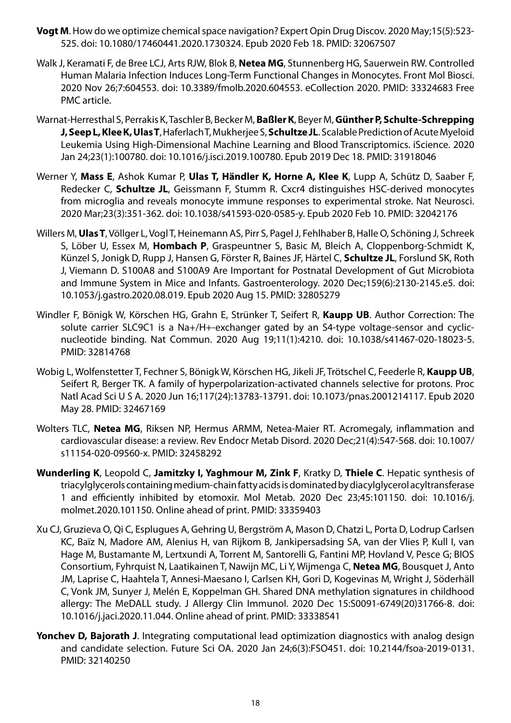- **Vogt M**. How do we optimize chemical space navigation? Expert Opin Drug Discov. 2020 May;15(5):523- 525. doi: 10.1080/17460441.2020.1730324. Epub 2020 Feb 18. PMID: 32067507
- Walk J, Keramati F, de Bree LCJ, Arts RJW, Blok B, **Netea MG**, Stunnenberg HG, Sauerwein RW. Controlled Human Malaria Infection Induces Long-Term Functional Changes in Monocytes. Front Mol Biosci. 2020 Nov 26;7:604553. doi: 10.3389/fmolb.2020.604553. eCollection 2020. PMID: 33324683 Free PMC article.
- Warnat-Herresthal S, Perrakis K, Taschler B, Becker M, **Baßler K**, Beyer M, **Günther P, Schulte-Schrepping J, Seep L, Klee K, Ulas T**, Haferlach T, Mukherjee S, **Schultze JL**. Scalable Prediction of Acute Myeloid Leukemia Using High-Dimensional Machine Learning and Blood Transcriptomics. iScience. 2020 Jan 24;23(1):100780. doi: 10.1016/j.isci.2019.100780. Epub 2019 Dec 18. PMID: 31918046
- Werner Y, **Mass E**, Ashok Kumar P, **Ulas T, Händler K, Horne A, Klee K**, Lupp A, Schütz D, Saaber F, Redecker C, **Schultze JL**, Geissmann F, Stumm R. Cxcr4 distinguishes HSC-derived monocytes from microglia and reveals monocyte immune responses to experimental stroke. Nat Neurosci. 2020 Mar;23(3):351-362. doi: 10.1038/s41593-020-0585-y. Epub 2020 Feb 10. PMID: 32042176
- Willers M, **Ulas T**, Völlger L, Vogl T, Heinemann AS, Pirr S, Pagel J, Fehlhaber B, Halle O, Schöning J, Schreek S, Löber U, Essex M, **Hombach P**, Graspeuntner S, Basic M, Bleich A, Cloppenborg-Schmidt K, Künzel S, Jonigk D, Rupp J, Hansen G, Förster R, Baines JF, Härtel C, **Schultze JL**, Forslund SK, Roth J, Viemann D. S100A8 and S100A9 Are Important for Postnatal Development of Gut Microbiota and Immune System in Mice and Infants. Gastroenterology. 2020 Dec;159(6):2130-2145.e5. doi: 10.1053/j.gastro.2020.08.019. Epub 2020 Aug 15. PMID: 32805279
- Windler F, Bönigk W, Körschen HG, Grahn E, Strünker T, Seifert R, **Kaupp UB**. Author Correction: The solute carrier SLC9C1 is a Na+/H+-exchanger gated by an S4-type voltage-sensor and cyclicnucleotide binding. Nat Commun. 2020 Aug 19;11(1):4210. doi: 10.1038/s41467-020-18023-5. PMID: 32814768
- Wobig L, Wolfenstetter T, Fechner S, Bönigk W, Körschen HG, Jikeli JF, Trötschel C, Feederle R, **Kaupp UB**, Seifert R, Berger TK. A family of hyperpolarization-activated channels selective for protons. Proc Natl Acad Sci U S A. 2020 Jun 16;117(24):13783-13791. doi: 10.1073/pnas.2001214117. Epub 2020 May 28. PMID: 32467169
- Wolters TLC, **Netea MG**, Riksen NP, Hermus ARMM, Netea-Maier RT. Acromegaly, inflammation and cardiovascular disease: a review. Rev Endocr Metab Disord. 2020 Dec;21(4):547-568. doi: 10.1007/ s11154-020-09560-x. PMID: 32458292
- **Wunderling K**, Leopold C, **Jamitzky I, Yaghmour M, Zink F**, Kratky D, **Thiele C**. Hepatic synthesis of triacylglycerols containing medium-chain fatty acids is dominated by diacylglycerol acyltransferase 1 and efficiently inhibited by etomoxir. Mol Metab. 2020 Dec 23;45:101150. doi: 10.1016/j. molmet.2020.101150. Online ahead of print. PMID: 33359403
- Xu CJ, Gruzieva O, Qi C, Esplugues A, Gehring U, Bergström A, Mason D, Chatzi L, Porta D, Lodrup Carlsen KC, Baïz N, Madore AM, Alenius H, van Rijkom B, Jankipersadsing SA, van der Vlies P, Kull I, van Hage M, Bustamante M, Lertxundi A, Torrent M, Santorelli G, Fantini MP, Hovland V, Pesce G; BIOS Consortium, Fyhrquist N, Laatikainen T, Nawijn MC, Li Y, Wijmenga C, **Netea MG**, Bousquet J, Anto JM, Laprise C, Haahtela T, Annesi-Maesano I, Carlsen KH, Gori D, Kogevinas M, Wright J, Söderhäll C, Vonk JM, Sunyer J, Melén E, Koppelman GH. Shared DNA methylation signatures in childhood allergy: The MeDALL study. J Allergy Clin Immunol. 2020 Dec 15:S0091-6749(20)31766-8. doi: 10.1016/j.jaci.2020.11.044. Online ahead of print. PMID: 33338541
- **Yonchev D, Bajorath J.** Integrating computational lead optimization diagnostics with analog design and candidate selection. Future Sci OA. 2020 Jan 24;6(3):FSO451. doi: 10.2144/fsoa-2019-0131. PMID: 32140250